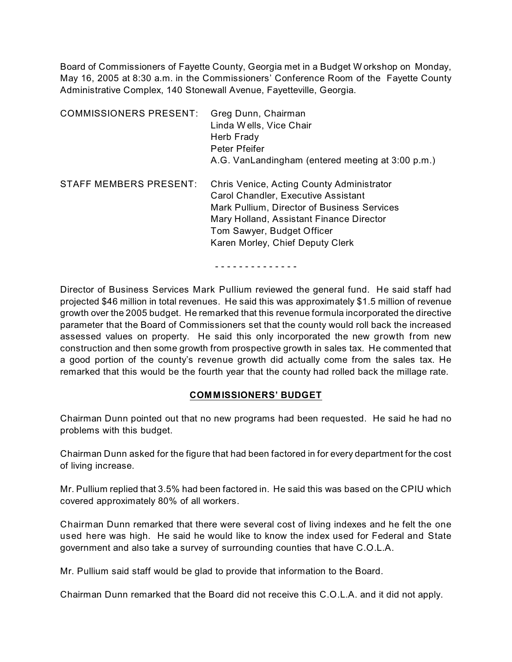Board of Commissioners of Fayette County, Georgia met in a Budget W orkshop on Monday, May 16, 2005 at 8:30 a.m. in the Commissioners' Conference Room of the Fayette County Administrative Complex, 140 Stonewall Avenue, Fayetteville, Georgia.

| <b>COMMISSIONERS PRESENT:</b> | Greg Dunn, Chairman<br>Linda Wells, Vice Chair<br>Herb Frady<br>Peter Pfeifer<br>A.G. VanLandingham (entered meeting at 3:00 p.m.)                                                                                                            |
|-------------------------------|-----------------------------------------------------------------------------------------------------------------------------------------------------------------------------------------------------------------------------------------------|
| STAFF MEMBERS PRESENT:        | Chris Venice, Acting County Administrator<br>Carol Chandler, Executive Assistant<br>Mark Pullium, Director of Business Services<br>Mary Holland, Assistant Finance Director<br>Tom Sawyer, Budget Officer<br>Karen Morley, Chief Deputy Clerk |

#### - - - - - - - - - - - - - -

Director of Business Services Mark Pullium reviewed the general fund. He said staff had projected \$46 million in total revenues. He said this was approximately \$1.5 million of revenue growth over the 2005 budget. He remarked that this revenue formula incorporated the directive parameter that the Board of Commissioners set that the county would roll back the increased assessed values on property. He said this only incorporated the new growth from new construction and then some growth from prospective growth in sales tax. He commented that a good portion of the county's revenue growth did actually come from the sales tax. He remarked that this would be the fourth year that the county had rolled back the millage rate.

#### **COMMISSIONERS' BUDGET**

Chairman Dunn pointed out that no new programs had been requested. He said he had no problems with this budget.

Chairman Dunn asked for the figure that had been factored in for every department for the cost of living increase.

Mr. Pullium replied that 3.5% had been factored in. He said this was based on the CPIU which covered approximately 80% of all workers.

Chairman Dunn remarked that there were several cost of living indexes and he felt the one used here was high. He said he would like to know the index used for Federal and State government and also take a survey of surrounding counties that have C.O.L.A.

Mr. Pullium said staff would be glad to provide that information to the Board.

Chairman Dunn remarked that the Board did not receive this C.O.L.A. and it did not apply.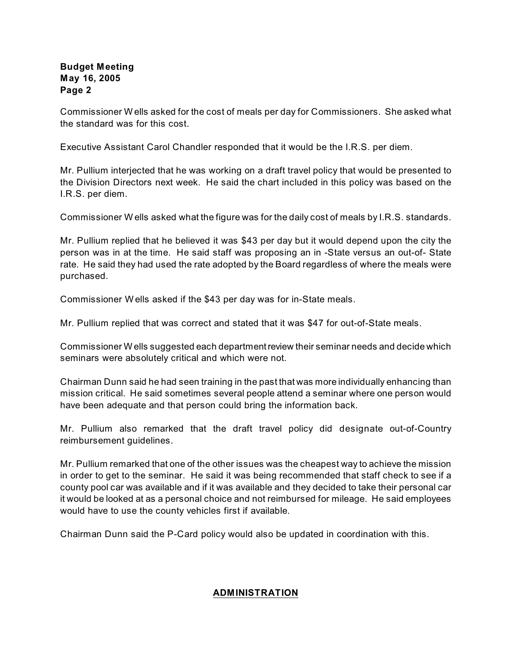Commissioner W ells asked for the cost of meals per day for Commissioners. She asked what the standard was for this cost.

Executive Assistant Carol Chandler responded that it would be the I.R.S. per diem.

Mr. Pullium interjected that he was working on a draft travel policy that would be presented to the Division Directors next week. He said the chart included in this policy was based on the I.R.S. per diem.

Commissioner W ells asked what the figure was for the daily cost of meals by I.R.S. standards.

Mr. Pullium replied that he believed it was \$43 per day but it would depend upon the city the person was in at the time. He said staff was proposing an in -State versus an out-of- State rate. He said they had used the rate adopted by the Board regardless of where the meals were purchased.

Commissioner W ells asked if the \$43 per day was for in-State meals.

Mr. Pullium replied that was correct and stated that it was \$47 for out-of-State meals.

Commissioner W ells suggested each department review their seminar needs and decide which seminars were absolutely critical and which were not.

Chairman Dunn said he had seen training in the past that was more individually enhancing than mission critical. He said sometimes several people attend a seminar where one person would have been adequate and that person could bring the information back.

Mr. Pullium also remarked that the draft travel policy did designate out-of-Country reimbursement guidelines.

Mr. Pullium remarked that one of the other issues was the cheapest way to achieve the mission in order to get to the seminar. He said it was being recommended that staff check to see if a county pool car was available and if it was available and they decided to take their personal car it would be looked at as a personal choice and not reimbursed for mileage. He said employees would have to use the county vehicles first if available.

Chairman Dunn said the P-Card policy would also be updated in coordination with this.

#### **ADMINISTRATION**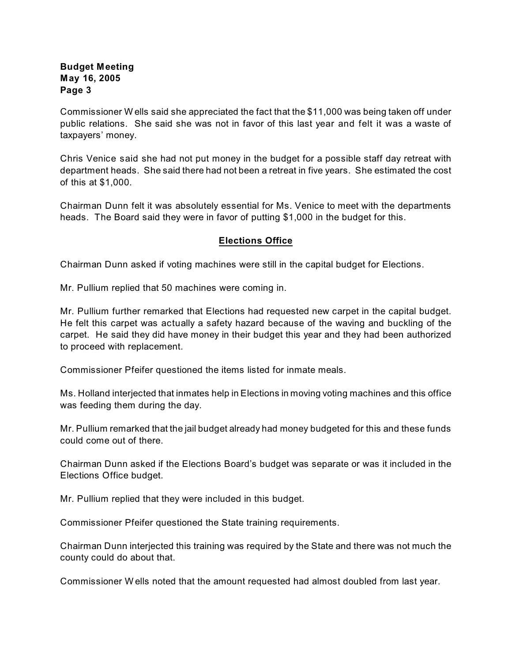Commissioner W ells said she appreciated the fact that the \$11,000 was being taken off under public relations. She said she was not in favor of this last year and felt it was a waste of taxpayers' money.

Chris Venice said she had not put money in the budget for a possible staff day retreat with department heads. She said there had not been a retreat in five years. She estimated the cost of this at \$1,000.

Chairman Dunn felt it was absolutely essential for Ms. Venice to meet with the departments heads. The Board said they were in favor of putting \$1,000 in the budget for this.

## **Elections Office**

Chairman Dunn asked if voting machines were still in the capital budget for Elections.

Mr. Pullium replied that 50 machines were coming in.

Mr. Pullium further remarked that Elections had requested new carpet in the capital budget. He felt this carpet was actually a safety hazard because of the waving and buckling of the carpet. He said they did have money in their budget this year and they had been authorized to proceed with replacement.

Commissioner Pfeifer questioned the items listed for inmate meals.

Ms. Holland interjected that inmates help in Elections in moving voting machines and this office was feeding them during the day.

Mr. Pullium remarked that the jail budget already had money budgeted for this and these funds could come out of there.

Chairman Dunn asked if the Elections Board's budget was separate or was it included in the Elections Office budget.

Mr. Pullium replied that they were included in this budget.

Commissioner Pfeifer questioned the State training requirements.

Chairman Dunn interjected this training was required by the State and there was not much the county could do about that.

Commissioner W ells noted that the amount requested had almost doubled from last year.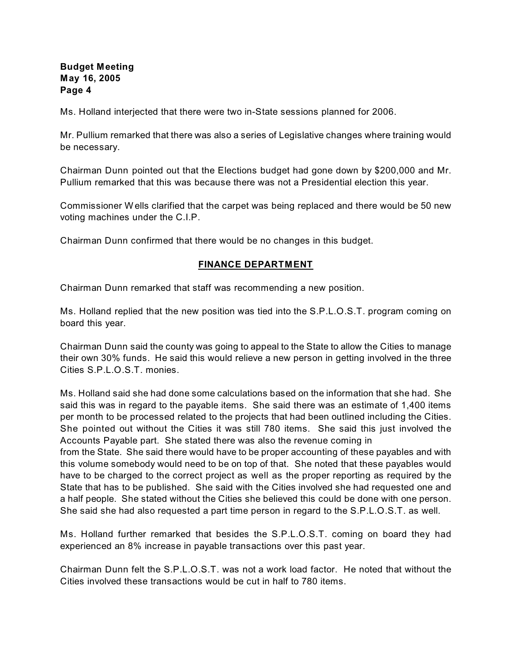Ms. Holland interjected that there were two in-State sessions planned for 2006.

Mr. Pullium remarked that there was also a series of Legislative changes where training would be necessary.

Chairman Dunn pointed out that the Elections budget had gone down by \$200,000 and Mr. Pullium remarked that this was because there was not a Presidential election this year.

Commissioner W ells clarified that the carpet was being replaced and there would be 50 new voting machines under the C.I.P.

Chairman Dunn confirmed that there would be no changes in this budget.

## **FINANCE DEPARTMENT**

Chairman Dunn remarked that staff was recommending a new position.

Ms. Holland replied that the new position was tied into the S.P.L.O.S.T. program coming on board this year.

Chairman Dunn said the county was going to appeal to the State to allow the Cities to manage their own 30% funds. He said this would relieve a new person in getting involved in the three Cities S.P.L.O.S.T. monies.

Ms. Holland said she had done some calculations based on the information that she had. She said this was in regard to the payable items. She said there was an estimate of 1,400 items per month to be processed related to the projects that had been outlined including the Cities. She pointed out without the Cities it was still 780 items. She said this just involved the Accounts Payable part. She stated there was also the revenue coming in

from the State. She said there would have to be proper accounting of these payables and with this volume somebody would need to be on top of that. She noted that these payables would have to be charged to the correct project as well as the proper reporting as required by the State that has to be published. She said with the Cities involved she had requested one and a half people. She stated without the Cities she believed this could be done with one person. She said she had also requested a part time person in regard to the S.P.L.O.S.T. as well.

Ms. Holland further remarked that besides the S.P.L.O.S.T. coming on board they had experienced an 8% increase in payable transactions over this past year.

Chairman Dunn felt the S.P.L.O.S.T. was not a work load factor. He noted that without the Cities involved these transactions would be cut in half to 780 items.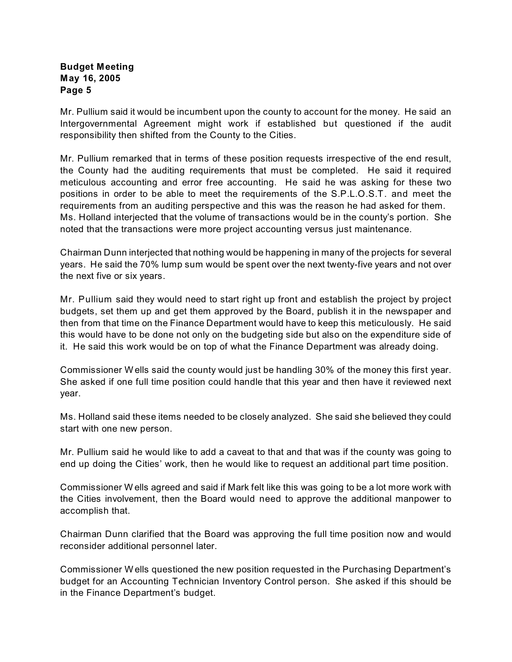Mr. Pullium said it would be incumbent upon the county to account for the money. He said an Intergovernmental Agreement might work if established but questioned if the audit responsibility then shifted from the County to the Cities.

Mr. Pullium remarked that in terms of these position requests irrespective of the end result, the County had the auditing requirements that must be completed. He said it required meticulous accounting and error free accounting. He said he was asking for these two positions in order to be able to meet the requirements of the S.P.L.O.S.T. and meet the requirements from an auditing perspective and this was the reason he had asked for them. Ms. Holland interjected that the volume of transactions would be in the county's portion. She noted that the transactions were more project accounting versus just maintenance.

Chairman Dunn interjected that nothing would be happening in many of the projects for several years. He said the 70% lump sum would be spent over the next twenty-five years and not over the next five or six years.

Mr. Pullium said they would need to start right up front and establish the project by project budgets, set them up and get them approved by the Board, publish it in the newspaper and then from that time on the Finance Department would have to keep this meticulously. He said this would have to be done not only on the budgeting side but also on the expenditure side of it. He said this work would be on top of what the Finance Department was already doing.

Commissioner W ells said the county would just be handling 30% of the money this first year. She asked if one full time position could handle that this year and then have it reviewed next year.

Ms. Holland said these items needed to be closely analyzed. She said she believed they could start with one new person.

Mr. Pullium said he would like to add a caveat to that and that was if the county was going to end up doing the Cities' work, then he would like to request an additional part time position.

Commissioner W ells agreed and said if Mark felt like this was going to be a lot more work with the Cities involvement, then the Board would need to approve the additional manpower to accomplish that.

Chairman Dunn clarified that the Board was approving the full time position now and would reconsider additional personnel later.

Commissioner W ells questioned the new position requested in the Purchasing Department's budget for an Accounting Technician Inventory Control person. She asked if this should be in the Finance Department's budget.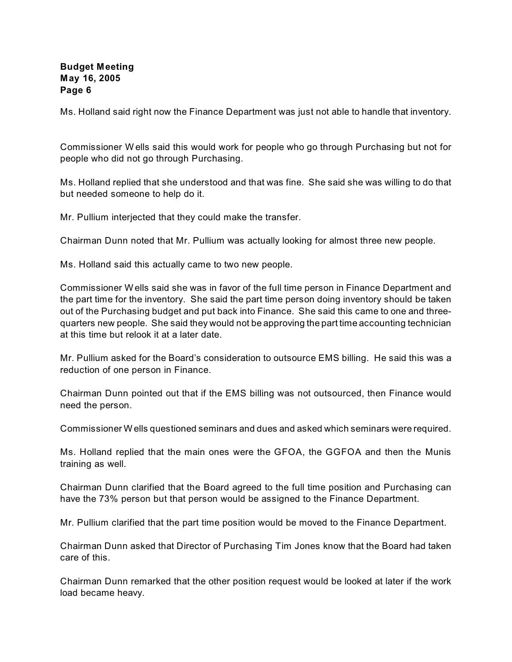Ms. Holland said right now the Finance Department was just not able to handle that inventory.

Commissioner W ells said this would work for people who go through Purchasing but not for people who did not go through Purchasing.

Ms. Holland replied that she understood and that was fine. She said she was willing to do that but needed someone to help do it.

Mr. Pullium interjected that they could make the transfer.

Chairman Dunn noted that Mr. Pullium was actually looking for almost three new people.

Ms. Holland said this actually came to two new people.

Commissioner W ells said she was in favor of the full time person in Finance Department and the part time for the inventory. She said the part time person doing inventory should be taken out of the Purchasing budget and put back into Finance. She said this came to one and threequarters new people. She said they would not be approving the part time accounting technician at this time but relook it at a later date.

Mr. Pullium asked for the Board's consideration to outsource EMS billing. He said this was a reduction of one person in Finance.

Chairman Dunn pointed out that if the EMS billing was not outsourced, then Finance would need the person.

Commissioner W ells questioned seminars and dues and asked which seminars were required.

Ms. Holland replied that the main ones were the GFOA, the GGFOA and then the Munis training as well.

Chairman Dunn clarified that the Board agreed to the full time position and Purchasing can have the 73% person but that person would be assigned to the Finance Department.

Mr. Pullium clarified that the part time position would be moved to the Finance Department.

Chairman Dunn asked that Director of Purchasing Tim Jones know that the Board had taken care of this.

Chairman Dunn remarked that the other position request would be looked at later if the work load became heavy.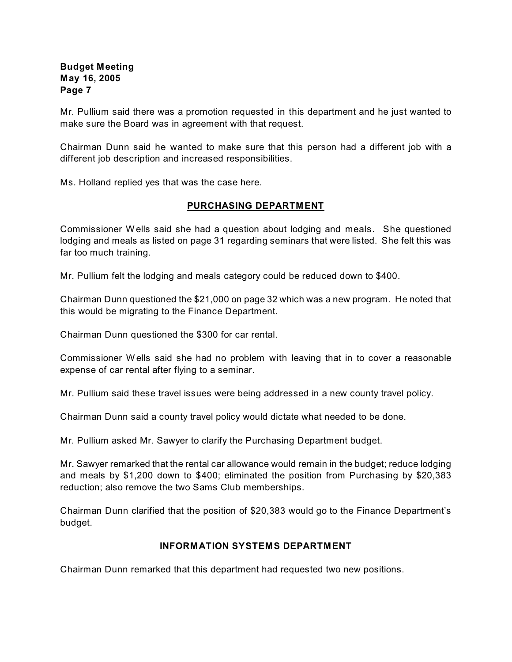Mr. Pullium said there was a promotion requested in this department and he just wanted to make sure the Board was in agreement with that request.

Chairman Dunn said he wanted to make sure that this person had a different job with a different job description and increased responsibilities.

Ms. Holland replied yes that was the case here.

#### **PURCHASING DEPARTMENT**

Commissioner W ells said she had a question about lodging and meals. She questioned lodging and meals as listed on page 31 regarding seminars that were listed. She felt this was far too much training.

Mr. Pullium felt the lodging and meals category could be reduced down to \$400.

Chairman Dunn questioned the \$21,000 on page 32 which was a new program. He noted that this would be migrating to the Finance Department.

Chairman Dunn questioned the \$300 for car rental.

Commissioner W ells said she had no problem with leaving that in to cover a reasonable expense of car rental after flying to a seminar.

Mr. Pullium said these travel issues were being addressed in a new county travel policy.

Chairman Dunn said a county travel policy would dictate what needed to be done.

Mr. Pullium asked Mr. Sawyer to clarify the Purchasing Department budget.

Mr. Sawyer remarked that the rental car allowance would remain in the budget; reduce lodging and meals by \$1,200 down to \$400; eliminated the position from Purchasing by \$20,383 reduction; also remove the two Sams Club memberships.

Chairman Dunn clarified that the position of \$20,383 would go to the Finance Department's budget.

#### **INFORMATION SYSTEMS DEPARTMENT**

Chairman Dunn remarked that this department had requested two new positions.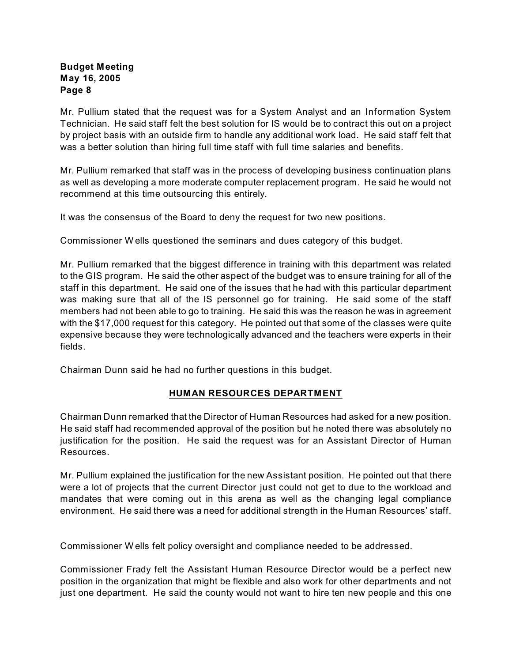Mr. Pullium stated that the request was for a System Analyst and an Information System Technician. He said staff felt the best solution for IS would be to contract this out on a project by project basis with an outside firm to handle any additional work load. He said staff felt that was a better solution than hiring full time staff with full time salaries and benefits.

Mr. Pullium remarked that staff was in the process of developing business continuation plans as well as developing a more moderate computer replacement program. He said he would not recommend at this time outsourcing this entirely.

It was the consensus of the Board to deny the request for two new positions.

Commissioner W ells questioned the seminars and dues category of this budget.

Mr. Pullium remarked that the biggest difference in training with this department was related to the GIS program. He said the other aspect of the budget was to ensure training for all of the staff in this department. He said one of the issues that he had with this particular department was making sure that all of the IS personnel go for training. He said some of the staff members had not been able to go to training. He said this was the reason he was in agreement with the \$17,000 request for this category. He pointed out that some of the classes were quite expensive because they were technologically advanced and the teachers were experts in their fields.

Chairman Dunn said he had no further questions in this budget.

#### **HUMAN RESOURCES DEPARTMENT**

Chairman Dunn remarked that the Director of Human Resources had asked for a new position. He said staff had recommended approval of the position but he noted there was absolutely no justification for the position. He said the request was for an Assistant Director of Human Resources.

Mr. Pullium explained the justification for the new Assistant position. He pointed out that there were a lot of projects that the current Director just could not get to due to the workload and mandates that were coming out in this arena as well as the changing legal compliance environment. He said there was a need for additional strength in the Human Resources' staff.

Commissioner W ells felt policy oversight and compliance needed to be addressed.

Commissioner Frady felt the Assistant Human Resource Director would be a perfect new position in the organization that might be flexible and also work for other departments and not just one department. He said the county would not want to hire ten new people and this one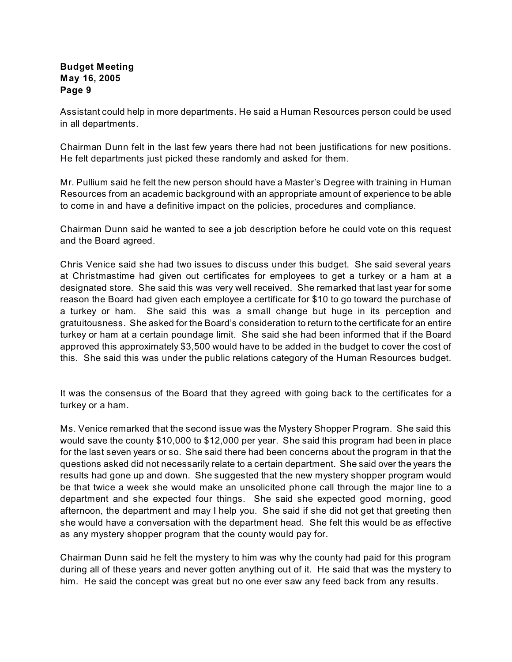Assistant could help in more departments. He said a Human Resources person could be used in all departments.

Chairman Dunn felt in the last few years there had not been justifications for new positions. He felt departments just picked these randomly and asked for them.

Mr. Pullium said he felt the new person should have a Master's Degree with training in Human Resources from an academic background with an appropriate amount of experience to be able to come in and have a definitive impact on the policies, procedures and compliance.

Chairman Dunn said he wanted to see a job description before he could vote on this request and the Board agreed.

Chris Venice said she had two issues to discuss under this budget. She said several years at Christmastime had given out certificates for employees to get a turkey or a ham at a designated store. She said this was very well received. She remarked that last year for some reason the Board had given each employee a certificate for \$10 to go toward the purchase of a turkey or ham. She said this was a small change but huge in its perception and gratuitousness. She asked for the Board's consideration to return to the certificate for an entire turkey or ham at a certain poundage limit. She said she had been informed that if the Board approved this approximately \$3,500 would have to be added in the budget to cover the cost of this. She said this was under the public relations category of the Human Resources budget.

It was the consensus of the Board that they agreed with going back to the certificates for a turkey or a ham.

Ms. Venice remarked that the second issue was the Mystery Shopper Program. She said this would save the county \$10,000 to \$12,000 per year. She said this program had been in place for the last seven years or so. She said there had been concerns about the program in that the questions asked did not necessarily relate to a certain department. She said over the years the results had gone up and down. She suggested that the new mystery shopper program would be that twice a week she would make an unsolicited phone call through the major line to a department and she expected four things. She said she expected good morning, good afternoon, the department and may I help you. She said if she did not get that greeting then she would have a conversation with the department head. She felt this would be as effective as any mystery shopper program that the county would pay for.

Chairman Dunn said he felt the mystery to him was why the county had paid for this program during all of these years and never gotten anything out of it. He said that was the mystery to him. He said the concept was great but no one ever saw any feed back from any results.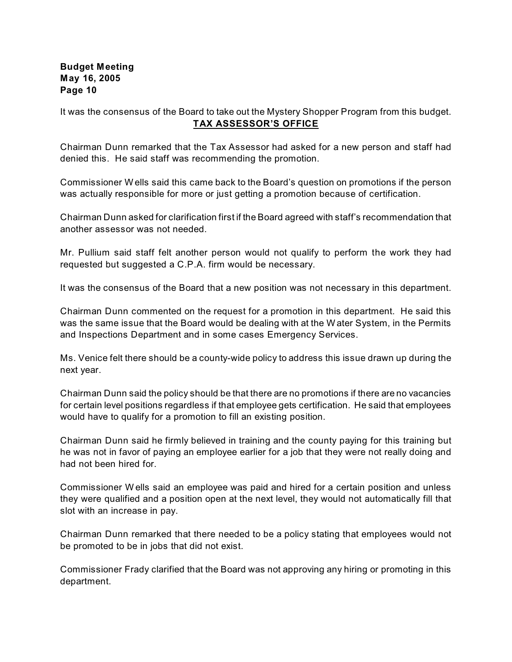It was the consensus of the Board to take out the Mystery Shopper Program from this budget. **TAX ASSESSOR'S OFFICE**

Chairman Dunn remarked that the Tax Assessor had asked for a new person and staff had denied this. He said staff was recommending the promotion.

Commissioner W ells said this came back to the Board's question on promotions if the person was actually responsible for more or just getting a promotion because of certification.

Chairman Dunn asked for clarification first if the Board agreed with staff's recommendation that another assessor was not needed.

Mr. Pullium said staff felt another person would not qualify to perform the work they had requested but suggested a C.P.A. firm would be necessary.

It was the consensus of the Board that a new position was not necessary in this department.

Chairman Dunn commented on the request for a promotion in this department. He said this was the same issue that the Board would be dealing with at the W ater System, in the Permits and Inspections Department and in some cases Emergency Services.

Ms. Venice felt there should be a county-wide policy to address this issue drawn up during the next year.

Chairman Dunn said the policy should be that there are no promotions if there are no vacancies for certain level positions regardless if that employee gets certification. He said that employees would have to qualify for a promotion to fill an existing position.

Chairman Dunn said he firmly believed in training and the county paying for this training but he was not in favor of paying an employee earlier for a job that they were not really doing and had not been hired for.

Commissioner W ells said an employee was paid and hired for a certain position and unless they were qualified and a position open at the next level, they would not automatically fill that slot with an increase in pay.

Chairman Dunn remarked that there needed to be a policy stating that employees would not be promoted to be in jobs that did not exist.

Commissioner Frady clarified that the Board was not approving any hiring or promoting in this department.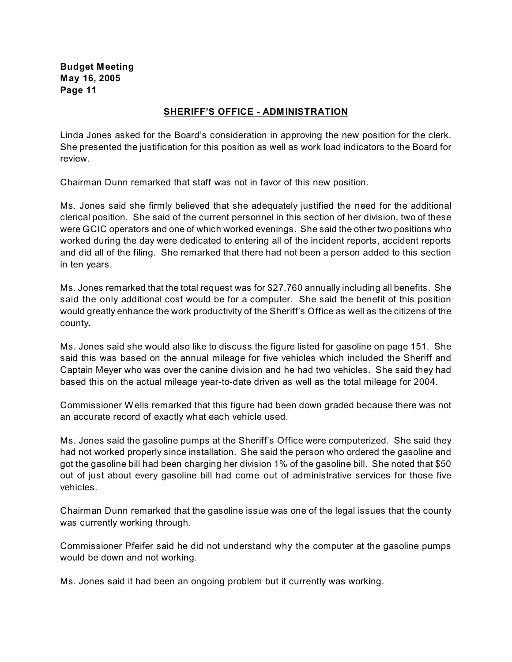#### **SHERIFF'S OFFICE - ADMINISTRATION**

Linda Jones asked for the Board's consideration in approving the new position for the clerk. She presented the justification for this position as well as work load indicators to the Board for review.

Chairman Dunn remarked that staff was not in favor of this new position.

Ms. Jones said she firmly believed that she adequately justified the need for the additional clerical position. She said of the current personnel in this section of her division, two of these were GCIC operators and one of which worked evenings. She said the other two positions who worked during the day were dedicated to entering all of the incident reports, accident reports and did all of the filing. She remarked that there had not been a person added to this section in ten years.

Ms. Jones remarked that the total request was for \$27,760 annually including all benefits. She said the only additional cost would be for a computer. She said the benefit of this position would greatly enhance the work productivity of the Sheriff's Office as well as the citizens of the county.

Ms. Jones said she would also like to discuss the figure listed for gasoline on page 151. She said this was based on the annual mileage for five vehicles which included the Sheriff and Captain Meyer who was over the canine division and he had two vehicles. She said they had based this on the actual mileage year-to-date driven as well as the total mileage for 2004.

Commissioner W ells remarked that this figure had been down graded because there was not an accurate record of exactly what each vehicle used.

Ms. Jones said the gasoline pumps at the Sheriff's Office were computerized. She said they had not worked properly since installation. She said the person who ordered the gasoline and got the gasoline bill had been charging her division 1% of the gasoline bill. She noted that \$50 out of just about every gasoline bill had come out of administrative services for those five vehicles.

Chairman Dunn remarked that the gasoline issue was one of the legal issues that the county was currently working through.

Commissioner Pfeifer said he did not understand why the computer at the gasoline pumps would be down and not working.

Ms. Jones said it had been an ongoing problem but it currently was working.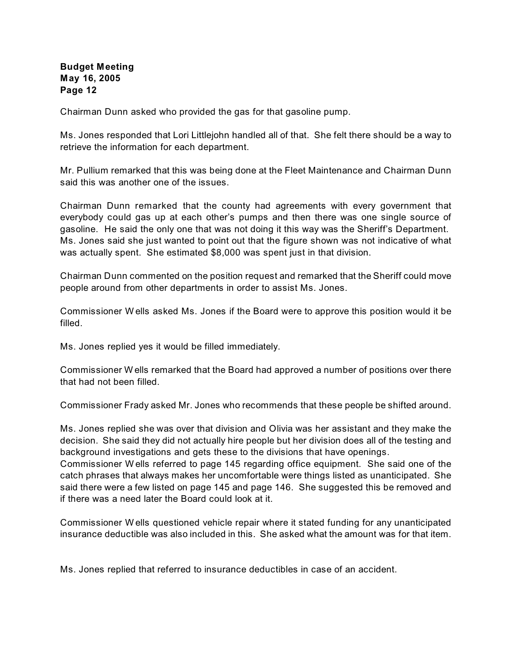Chairman Dunn asked who provided the gas for that gasoline pump.

Ms. Jones responded that Lori Littlejohn handled all of that. She felt there should be a way to retrieve the information for each department.

Mr. Pullium remarked that this was being done at the Fleet Maintenance and Chairman Dunn said this was another one of the issues.

Chairman Dunn remarked that the county had agreements with every government that everybody could gas up at each other's pumps and then there was one single source of gasoline. He said the only one that was not doing it this way was the Sheriff's Department. Ms. Jones said she just wanted to point out that the figure shown was not indicative of what was actually spent. She estimated \$8,000 was spent just in that division.

Chairman Dunn commented on the position request and remarked that the Sheriff could move people around from other departments in order to assist Ms. Jones.

Commissioner W ells asked Ms. Jones if the Board were to approve this position would it be filled.

Ms. Jones replied yes it would be filled immediately.

Commissioner W ells remarked that the Board had approved a number of positions over there that had not been filled.

Commissioner Frady asked Mr. Jones who recommends that these people be shifted around.

Ms. Jones replied she was over that division and Olivia was her assistant and they make the decision. She said they did not actually hire people but her division does all of the testing and background investigations and gets these to the divisions that have openings.

Commissioner W ells referred to page 145 regarding office equipment. She said one of the catch phrases that always makes her uncomfortable were things listed as unanticipated. She said there were a few listed on page 145 and page 146. She suggested this be removed and if there was a need later the Board could look at it.

Commissioner W ells questioned vehicle repair where it stated funding for any unanticipated insurance deductible was also included in this. She asked what the amount was for that item.

Ms. Jones replied that referred to insurance deductibles in case of an accident.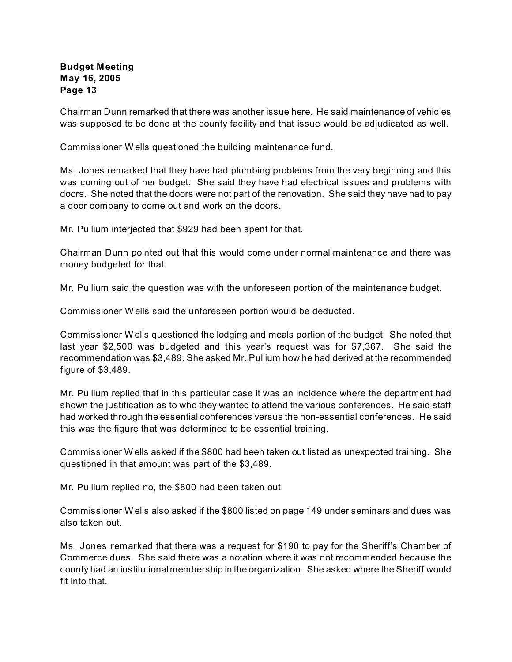Chairman Dunn remarked that there was another issue here. He said maintenance of vehicles was supposed to be done at the county facility and that issue would be adjudicated as well.

Commissioner W ells questioned the building maintenance fund.

Ms. Jones remarked that they have had plumbing problems from the very beginning and this was coming out of her budget. She said they have had electrical issues and problems with doors. She noted that the doors were not part of the renovation. She said they have had to pay a door company to come out and work on the doors.

Mr. Pullium interjected that \$929 had been spent for that.

Chairman Dunn pointed out that this would come under normal maintenance and there was money budgeted for that.

Mr. Pullium said the question was with the unforeseen portion of the maintenance budget.

Commissioner W ells said the unforeseen portion would be deducted.

Commissioner W ells questioned the lodging and meals portion of the budget. She noted that last year \$2,500 was budgeted and this year's request was for \$7,367. She said the recommendation was \$3,489. She asked Mr. Pullium how he had derived at the recommended figure of \$3,489.

Mr. Pullium replied that in this particular case it was an incidence where the department had shown the justification as to who they wanted to attend the various conferences. He said staff had worked through the essential conferences versus the non-essential conferences. He said this was the figure that was determined to be essential training.

Commissioner W ells asked if the \$800 had been taken out listed as unexpected training. She questioned in that amount was part of the \$3,489.

Mr. Pullium replied no, the \$800 had been taken out.

Commissioner W ells also asked if the \$800 listed on page 149 under seminars and dues was also taken out.

Ms. Jones remarked that there was a request for \$190 to pay for the Sheriff's Chamber of Commerce dues. She said there was a notation where it was not recommended because the county had an institutional membership in the organization. She asked where the Sheriff would fit into that.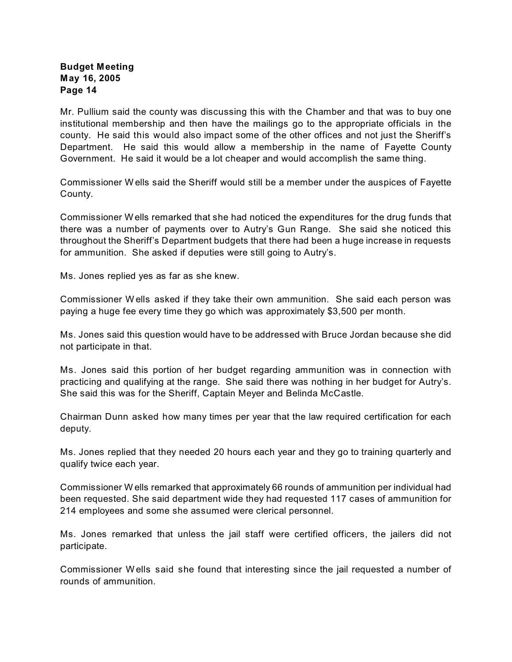Mr. Pullium said the county was discussing this with the Chamber and that was to buy one institutional membership and then have the mailings go to the appropriate officials in the county. He said this would also impact some of the other offices and not just the Sheriff's Department. He said this would allow a membership in the name of Fayette County Government. He said it would be a lot cheaper and would accomplish the same thing.

Commissioner W ells said the Sheriff would still be a member under the auspices of Fayette County.

Commissioner W ells remarked that she had noticed the expenditures for the drug funds that there was a number of payments over to Autry's Gun Range. She said she noticed this throughout the Sheriff's Department budgets that there had been a huge increase in requests for ammunition. She asked if deputies were still going to Autry's.

Ms. Jones replied yes as far as she knew.

Commissioner W ells asked if they take their own ammunition. She said each person was paying a huge fee every time they go which was approximately \$3,500 per month.

Ms. Jones said this question would have to be addressed with Bruce Jordan because she did not participate in that.

Ms. Jones said this portion of her budget regarding ammunition was in connection with practicing and qualifying at the range. She said there was nothing in her budget for Autry's. She said this was for the Sheriff, Captain Meyer and Belinda McCastle.

Chairman Dunn asked how many times per year that the law required certification for each deputy.

Ms. Jones replied that they needed 20 hours each year and they go to training quarterly and qualify twice each year.

Commissioner W ells remarked that approximately 66 rounds of ammunition per individual had been requested. She said department wide they had requested 117 cases of ammunition for 214 employees and some she assumed were clerical personnel.

Ms. Jones remarked that unless the jail staff were certified officers, the jailers did not participate.

Commissioner W ells said she found that interesting since the jail requested a number of rounds of ammunition.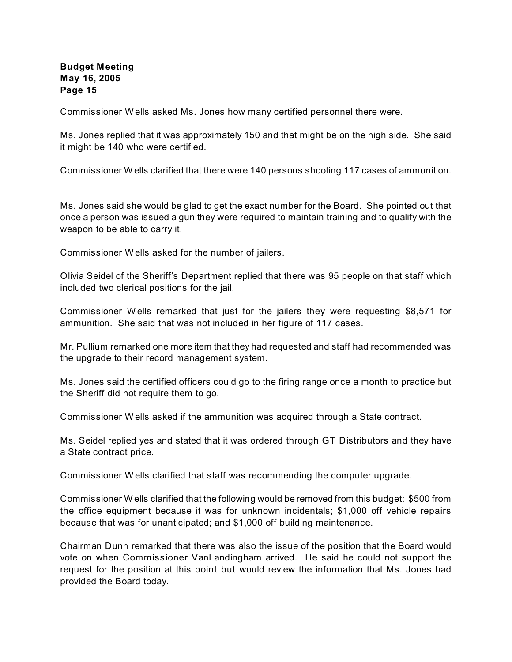Commissioner W ells asked Ms. Jones how many certified personnel there were.

Ms. Jones replied that it was approximately 150 and that might be on the high side. She said it might be 140 who were certified.

Commissioner W ells clarified that there were 140 persons shooting 117 cases of ammunition.

Ms. Jones said she would be glad to get the exact number for the Board. She pointed out that once a person was issued a gun they were required to maintain training and to qualify with the weapon to be able to carry it.

Commissioner W ells asked for the number of jailers.

Olivia Seidel of the Sheriff's Department replied that there was 95 people on that staff which included two clerical positions for the jail.

Commissioner W ells remarked that just for the jailers they were requesting \$8,571 for ammunition. She said that was not included in her figure of 117 cases.

Mr. Pullium remarked one more item that they had requested and staff had recommended was the upgrade to their record management system.

Ms. Jones said the certified officers could go to the firing range once a month to practice but the Sheriff did not require them to go.

Commissioner W ells asked if the ammunition was acquired through a State contract.

Ms. Seidel replied yes and stated that it was ordered through GT Distributors and they have a State contract price.

Commissioner W ells clarified that staff was recommending the computer upgrade.

Commissioner W ells clarified that the following would be removed from this budget: \$500 from the office equipment because it was for unknown incidentals; \$1,000 off vehicle repairs because that was for unanticipated; and \$1,000 off building maintenance.

Chairman Dunn remarked that there was also the issue of the position that the Board would vote on when Commissioner VanLandingham arrived. He said he could not support the request for the position at this point but would review the information that Ms. Jones had provided the Board today.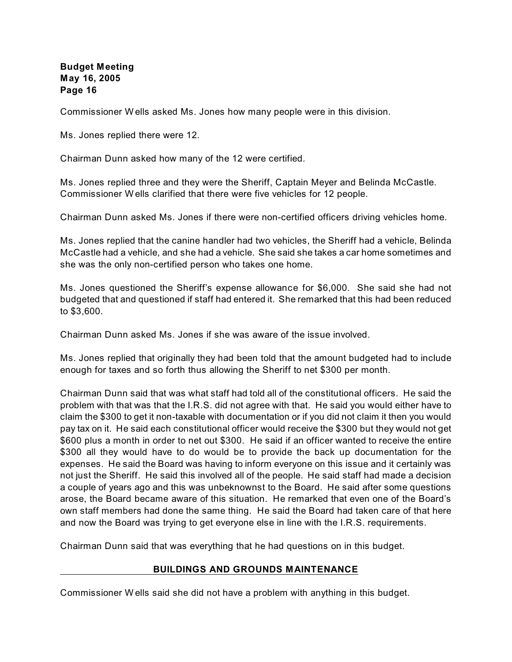Commissioner W ells asked Ms. Jones how many people were in this division.

Ms. Jones replied there were 12.

Chairman Dunn asked how many of the 12 were certified.

Ms. Jones replied three and they were the Sheriff, Captain Meyer and Belinda McCastle. Commissioner W ells clarified that there were five vehicles for 12 people.

Chairman Dunn asked Ms. Jones if there were non-certified officers driving vehicles home.

Ms. Jones replied that the canine handler had two vehicles, the Sheriff had a vehicle, Belinda McCastle had a vehicle, and she had a vehicle. She said she takes a car home sometimes and she was the only non-certified person who takes one home.

Ms. Jones questioned the Sheriff's expense allowance for \$6,000. She said she had not budgeted that and questioned if staff had entered it. She remarked that this had been reduced to \$3,600.

Chairman Dunn asked Ms. Jones if she was aware of the issue involved.

Ms. Jones replied that originally they had been told that the amount budgeted had to include enough for taxes and so forth thus allowing the Sheriff to net \$300 per month.

Chairman Dunn said that was what staff had told all of the constitutional officers. He said the problem with that was that the I.R.S. did not agree with that. He said you would either have to claim the \$300 to get it non-taxable with documentation or if you did not claim it then you would pay tax on it. He said each constitutional officer would receive the \$300 but they would not get \$600 plus a month in order to net out \$300. He said if an officer wanted to receive the entire \$300 all they would have to do would be to provide the back up documentation for the expenses. He said the Board was having to inform everyone on this issue and it certainly was not just the Sheriff. He said this involved all of the people. He said staff had made a decision a couple of years ago and this was unbeknownst to the Board. He said after some questions arose, the Board became aware of this situation. He remarked that even one of the Board's own staff members had done the same thing. He said the Board had taken care of that here and now the Board was trying to get everyone else in line with the I.R.S. requirements.

Chairman Dunn said that was everything that he had questions on in this budget.

#### **BUILDINGS AND GROUNDS MAINTENANCE**

Commissioner W ells said she did not have a problem with anything in this budget.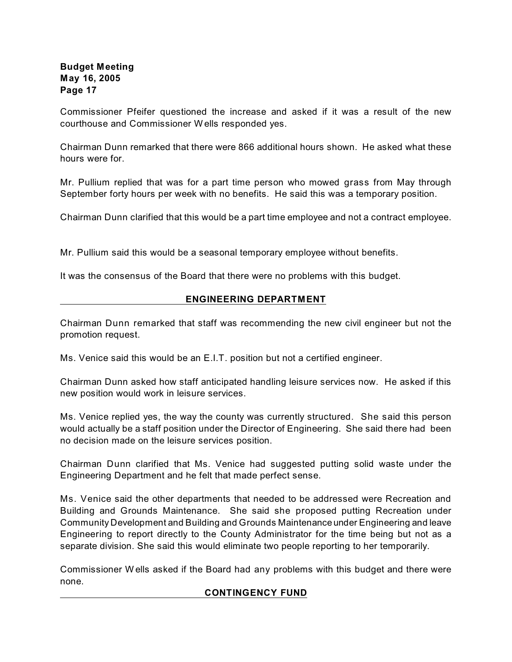Commissioner Pfeifer questioned the increase and asked if it was a result of the new courthouse and Commissioner W ells responded yes.

Chairman Dunn remarked that there were 866 additional hours shown. He asked what these hours were for.

Mr. Pullium replied that was for a part time person who mowed grass from May through September forty hours per week with no benefits. He said this was a temporary position.

Chairman Dunn clarified that this would be a part time employee and not a contract employee.

Mr. Pullium said this would be a seasonal temporary employee without benefits.

It was the consensus of the Board that there were no problems with this budget.

## **ENGINEERING DEPARTMENT**

Chairman Dunn remarked that staff was recommending the new civil engineer but not the promotion request.

Ms. Venice said this would be an E.I.T. position but not a certified engineer.

Chairman Dunn asked how staff anticipated handling leisure services now. He asked if this new position would work in leisure services.

Ms. Venice replied yes, the way the county was currently structured. She said this person would actually be a staff position under the Director of Engineering. She said there had been no decision made on the leisure services position.

Chairman Dunn clarified that Ms. Venice had suggested putting solid waste under the Engineering Department and he felt that made perfect sense.

Ms. Venice said the other departments that needed to be addressed were Recreation and Building and Grounds Maintenance. She said she proposed putting Recreation under Community Development and Building and Grounds Maintenance under Engineering and leave Engineering to report directly to the County Administrator for the time being but not as a separate division. She said this would eliminate two people reporting to her temporarily.

Commissioner W ells asked if the Board had any problems with this budget and there were none.

#### **CONTINGENCY FUND**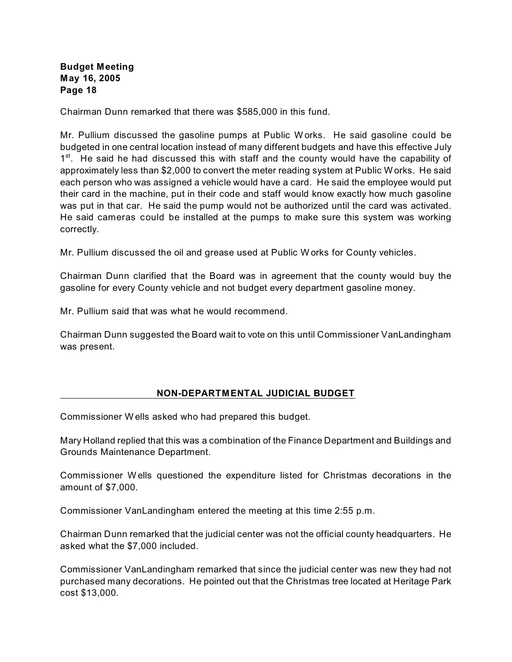Chairman Dunn remarked that there was \$585,000 in this fund.

Mr. Pullium discussed the gasoline pumps at Public W orks. He said gasoline could be budgeted in one central location instead of many different budgets and have this effective July  $1<sup>st</sup>$ . He said he had discussed this with staff and the county would have the capability of approximately less than \$2,000 to convert the meter reading system at Public W orks. He said each person who was assigned a vehicle would have a card. He said the employee would put their card in the machine, put in their code and staff would know exactly how much gasoline was put in that car. He said the pump would not be authorized until the card was activated. He said cameras could be installed at the pumps to make sure this system was working correctly.

Mr. Pullium discussed the oil and grease used at Public W orks for County vehicles.

Chairman Dunn clarified that the Board was in agreement that the county would buy the gasoline for every County vehicle and not budget every department gasoline money.

Mr. Pullium said that was what he would recommend.

Chairman Dunn suggested the Board wait to vote on this until Commissioner VanLandingham was present.

#### **NON-DEPARTMENTAL JUDICIAL BUDGET**

Commissioner W ells asked who had prepared this budget.

Mary Holland replied that this was a combination of the Finance Department and Buildings and Grounds Maintenance Department.

Commissioner W ells questioned the expenditure listed for Christmas decorations in the amount of \$7,000.

Commissioner VanLandingham entered the meeting at this time 2:55 p.m.

Chairman Dunn remarked that the judicial center was not the official county headquarters. He asked what the \$7,000 included.

Commissioner VanLandingham remarked that since the judicial center was new they had not purchased many decorations. He pointed out that the Christmas tree located at Heritage Park cost \$13,000.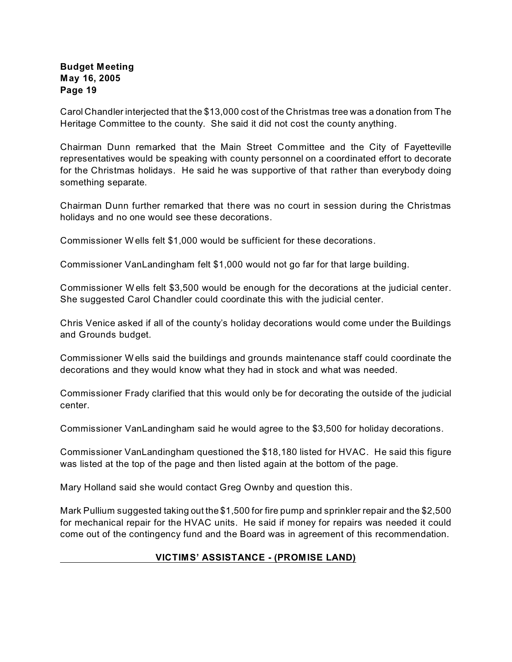Carol Chandler interjected that the \$13,000 cost of the Christmas tree was a donation from The Heritage Committee to the county. She said it did not cost the county anything.

Chairman Dunn remarked that the Main Street Committee and the City of Fayetteville representatives would be speaking with county personnel on a coordinated effort to decorate for the Christmas holidays. He said he was supportive of that rather than everybody doing something separate.

Chairman Dunn further remarked that there was no court in session during the Christmas holidays and no one would see these decorations.

Commissioner W ells felt \$1,000 would be sufficient for these decorations.

Commissioner VanLandingham felt \$1,000 would not go far for that large building.

Commissioner W ells felt \$3,500 would be enough for the decorations at the judicial center. She suggested Carol Chandler could coordinate this with the judicial center.

Chris Venice asked if all of the county's holiday decorations would come under the Buildings and Grounds budget.

Commissioner W ells said the buildings and grounds maintenance staff could coordinate the decorations and they would know what they had in stock and what was needed.

Commissioner Frady clarified that this would only be for decorating the outside of the judicial center.

Commissioner VanLandingham said he would agree to the \$3,500 for holiday decorations.

Commissioner VanLandingham questioned the \$18,180 listed for HVAC. He said this figure was listed at the top of the page and then listed again at the bottom of the page.

Mary Holland said she would contact Greg Ownby and question this.

Mark Pullium suggested taking out the \$1,500 for fire pump and sprinkler repair and the \$2,500 for mechanical repair for the HVAC units. He said if money for repairs was needed it could come out of the contingency fund and the Board was in agreement of this recommendation.

# **VICTIMS' ASSISTANCE - (PROMISE LAND)**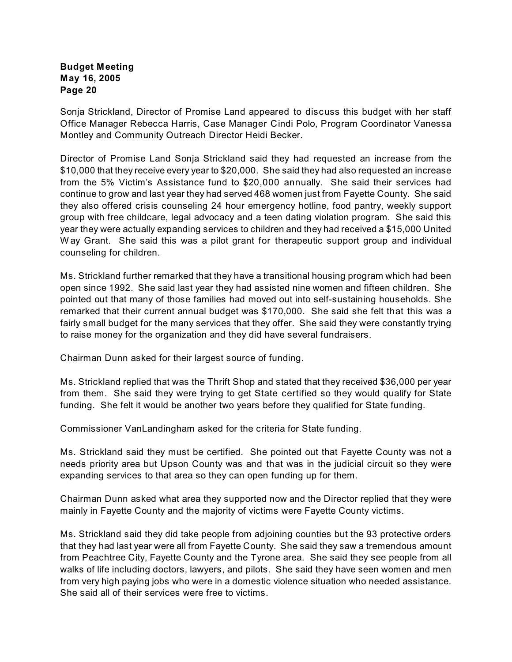Sonja Strickland, Director of Promise Land appeared to discuss this budget with her staff Office Manager Rebecca Harris, Case Manager Cindi Polo, Program Coordinator Vanessa Montley and Community Outreach Director Heidi Becker.

Director of Promise Land Sonja Strickland said they had requested an increase from the \$10,000 that they receive every year to \$20,000. She said they had also requested an increase from the 5% Victim's Assistance fund to \$20,000 annually. She said their services had continue to grow and last year they had served 468 women just from Fayette County. She said they also offered crisis counseling 24 hour emergency hotline, food pantry, weekly support group with free childcare, legal advocacy and a teen dating violation program. She said this year they were actually expanding services to children and they had received a \$15,000 United W ay Grant. She said this was a pilot grant for therapeutic support group and individual counseling for children.

Ms. Strickland further remarked that they have a transitional housing program which had been open since 1992. She said last year they had assisted nine women and fifteen children. She pointed out that many of those families had moved out into self-sustaining households. She remarked that their current annual budget was \$170,000. She said she felt that this was a fairly small budget for the many services that they offer. She said they were constantly trying to raise money for the organization and they did have several fundraisers.

Chairman Dunn asked for their largest source of funding.

Ms. Strickland replied that was the Thrift Shop and stated that they received \$36,000 per year from them. She said they were trying to get State certified so they would qualify for State funding. She felt it would be another two years before they qualified for State funding.

Commissioner VanLandingham asked for the criteria for State funding.

Ms. Strickland said they must be certified. She pointed out that Fayette County was not a needs priority area but Upson County was and that was in the judicial circuit so they were expanding services to that area so they can open funding up for them.

Chairman Dunn asked what area they supported now and the Director replied that they were mainly in Fayette County and the majority of victims were Fayette County victims.

Ms. Strickland said they did take people from adjoining counties but the 93 protective orders that they had last year were all from Fayette County. She said they saw a tremendous amount from Peachtree City, Fayette County and the Tyrone area. She said they see people from all walks of life including doctors, lawyers, and pilots. She said they have seen women and men from very high paying jobs who were in a domestic violence situation who needed assistance. She said all of their services were free to victims.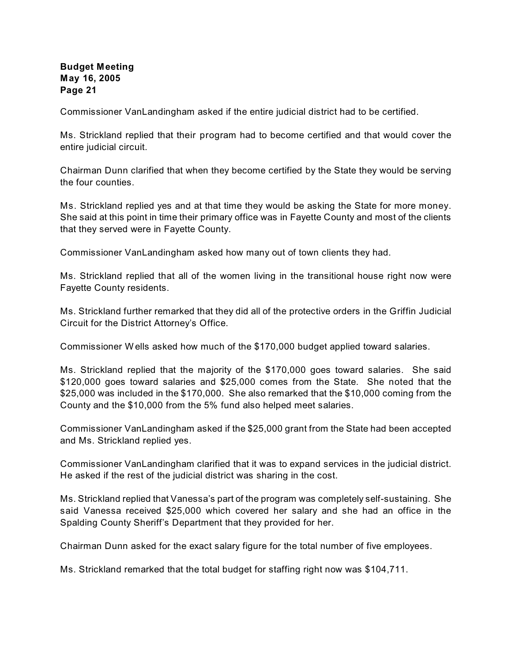Commissioner VanLandingham asked if the entire judicial district had to be certified.

Ms. Strickland replied that their program had to become certified and that would cover the entire judicial circuit.

Chairman Dunn clarified that when they become certified by the State they would be serving the four counties.

Ms. Strickland replied yes and at that time they would be asking the State for more money. She said at this point in time their primary office was in Fayette County and most of the clients that they served were in Fayette County.

Commissioner VanLandingham asked how many out of town clients they had.

Ms. Strickland replied that all of the women living in the transitional house right now were Fayette County residents.

Ms. Strickland further remarked that they did all of the protective orders in the Griffin Judicial Circuit for the District Attorney's Office.

Commissioner W ells asked how much of the \$170,000 budget applied toward salaries.

Ms. Strickland replied that the majority of the \$170,000 goes toward salaries. She said \$120,000 goes toward salaries and \$25,000 comes from the State. She noted that the \$25,000 was included in the \$170,000. She also remarked that the \$10,000 coming from the County and the \$10,000 from the 5% fund also helped meet salaries.

Commissioner VanLandingham asked if the \$25,000 grant from the State had been accepted and Ms. Strickland replied yes.

Commissioner VanLandingham clarified that it was to expand services in the judicial district. He asked if the rest of the judicial district was sharing in the cost.

Ms. Strickland replied that Vanessa's part of the program was completely self-sustaining. She said Vanessa received \$25,000 which covered her salary and she had an office in the Spalding County Sheriff's Department that they provided for her.

Chairman Dunn asked for the exact salary figure for the total number of five employees.

Ms. Strickland remarked that the total budget for staffing right now was \$104,711.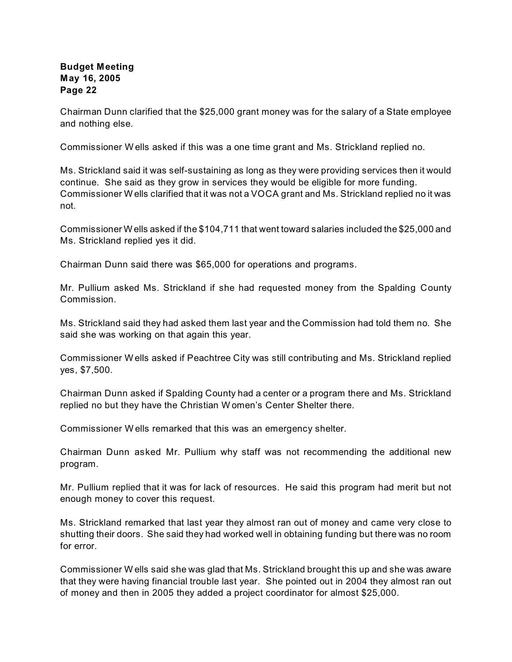Chairman Dunn clarified that the \$25,000 grant money was for the salary of a State employee and nothing else.

Commissioner W ells asked if this was a one time grant and Ms. Strickland replied no.

Ms. Strickland said it was self-sustaining as long as they were providing services then it would continue. She said as they grow in services they would be eligible for more funding. Commissioner W ells clarified that it was not a VOCA grant and Ms. Strickland replied no it was not.

Commissioner W ells asked if the \$104,711 that went toward salaries included the \$25,000 and Ms. Strickland replied yes it did.

Chairman Dunn said there was \$65,000 for operations and programs.

Mr. Pullium asked Ms. Strickland if she had requested money from the Spalding County Commission.

Ms. Strickland said they had asked them last year and the Commission had told them no. She said she was working on that again this year.

Commissioner W ells asked if Peachtree City was still contributing and Ms. Strickland replied yes, \$7,500.

Chairman Dunn asked if Spalding County had a center or a program there and Ms. Strickland replied no but they have the Christian W omen's Center Shelter there.

Commissioner W ells remarked that this was an emergency shelter.

Chairman Dunn asked Mr. Pullium why staff was not recommending the additional new program.

Mr. Pullium replied that it was for lack of resources. He said this program had merit but not enough money to cover this request.

Ms. Strickland remarked that last year they almost ran out of money and came very close to shutting their doors. She said they had worked well in obtaining funding but there was no room for error.

Commissioner W ells said she was glad that Ms. Strickland brought this up and she was aware that they were having financial trouble last year. She pointed out in 2004 they almost ran out of money and then in 2005 they added a project coordinator for almost \$25,000.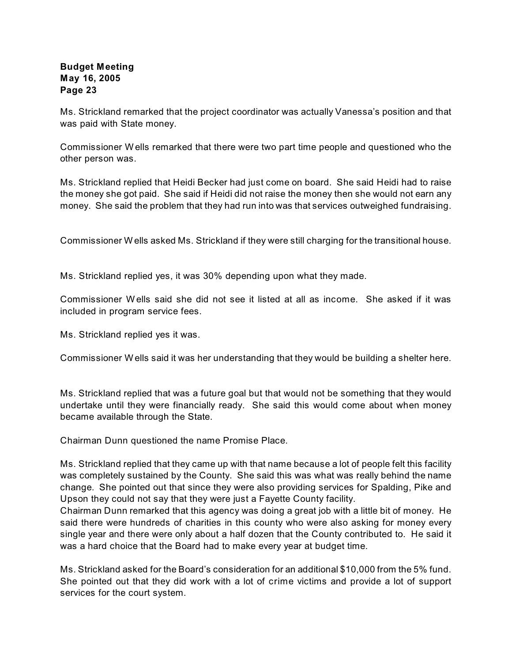Ms. Strickland remarked that the project coordinator was actually Vanessa's position and that was paid with State money.

Commissioner W ells remarked that there were two part time people and questioned who the other person was.

Ms. Strickland replied that Heidi Becker had just come on board. She said Heidi had to raise the money she got paid. She said if Heidi did not raise the money then she would not earn any money. She said the problem that they had run into was that services outweighed fundraising.

Commissioner W ells asked Ms. Strickland if they were still charging for the transitional house.

Ms. Strickland replied yes, it was 30% depending upon what they made.

Commissioner W ells said she did not see it listed at all as income. She asked if it was included in program service fees.

Ms. Strickland replied yes it was.

Commissioner W ells said it was her understanding that they would be building a shelter here.

Ms. Strickland replied that was a future goal but that would not be something that they would undertake until they were financially ready. She said this would come about when money became available through the State.

Chairman Dunn questioned the name Promise Place.

Ms. Strickland replied that they came up with that name because a lot of people felt this facility was completely sustained by the County. She said this was what was really behind the name change. She pointed out that since they were also providing services for Spalding, Pike and Upson they could not say that they were just a Fayette County facility.

Chairman Dunn remarked that this agency was doing a great job with a little bit of money. He said there were hundreds of charities in this county who were also asking for money every single year and there were only about a half dozen that the County contributed to. He said it was a hard choice that the Board had to make every year at budget time.

Ms. Strickland asked for the Board's consideration for an additional \$10,000 from the 5% fund. She pointed out that they did work with a lot of crime victims and provide a lot of support services for the court system.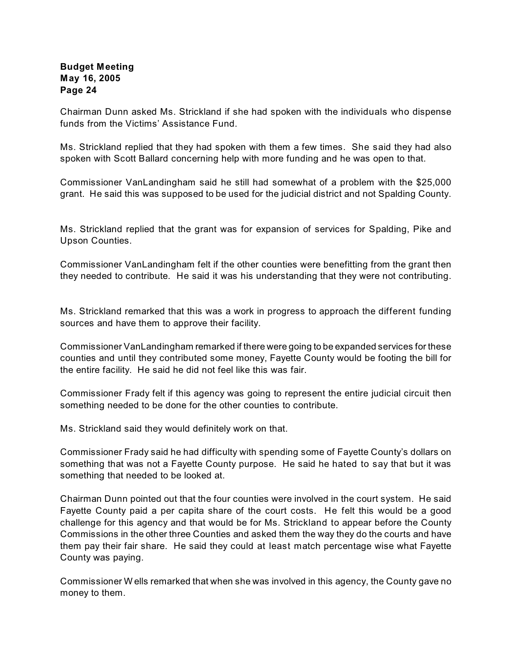Chairman Dunn asked Ms. Strickland if she had spoken with the individuals who dispense funds from the Victims' Assistance Fund.

Ms. Strickland replied that they had spoken with them a few times. She said they had also spoken with Scott Ballard concerning help with more funding and he was open to that.

Commissioner VanLandingham said he still had somewhat of a problem with the \$25,000 grant. He said this was supposed to be used for the judicial district and not Spalding County.

Ms. Strickland replied that the grant was for expansion of services for Spalding, Pike and Upson Counties.

Commissioner VanLandingham felt if the other counties were benefitting from the grant then they needed to contribute. He said it was his understanding that they were not contributing.

Ms. Strickland remarked that this was a work in progress to approach the different funding sources and have them to approve their facility.

Commissioner VanLandingham remarked if there were going to be expanded services for these counties and until they contributed some money, Fayette County would be footing the bill for the entire facility. He said he did not feel like this was fair.

Commissioner Frady felt if this agency was going to represent the entire judicial circuit then something needed to be done for the other counties to contribute.

Ms. Strickland said they would definitely work on that.

Commissioner Frady said he had difficulty with spending some of Fayette County's dollars on something that was not a Fayette County purpose. He said he hated to say that but it was something that needed to be looked at.

Chairman Dunn pointed out that the four counties were involved in the court system. He said Fayette County paid a per capita share of the court costs. He felt this would be a good challenge for this agency and that would be for Ms. Strickland to appear before the County Commissions in the other three Counties and asked them the way they do the courts and have them pay their fair share. He said they could at least match percentage wise what Fayette County was paying.

Commissioner W ells remarked that when she was involved in this agency, the County gave no money to them.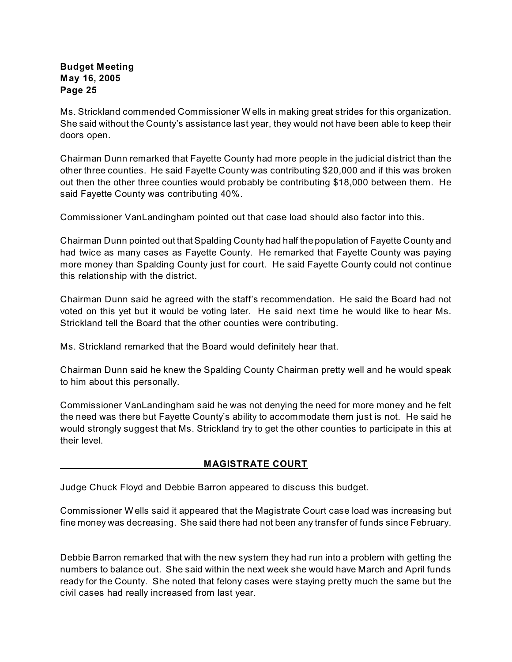Ms. Strickland commended Commissioner W ells in making great strides for this organization. She said without the County's assistance last year, they would not have been able to keep their doors open.

Chairman Dunn remarked that Fayette County had more people in the judicial district than the other three counties. He said Fayette County was contributing \$20,000 and if this was broken out then the other three counties would probably be contributing \$18,000 between them. He said Fayette County was contributing 40%.

Commissioner VanLandingham pointed out that case load should also factor into this.

Chairman Dunn pointed out that Spalding County had half the population of Fayette County and had twice as many cases as Fayette County. He remarked that Fayette County was paying more money than Spalding County just for court. He said Fayette County could not continue this relationship with the district.

Chairman Dunn said he agreed with the staff's recommendation. He said the Board had not voted on this yet but it would be voting later. He said next time he would like to hear Ms. Strickland tell the Board that the other counties were contributing.

Ms. Strickland remarked that the Board would definitely hear that.

Chairman Dunn said he knew the Spalding County Chairman pretty well and he would speak to him about this personally.

Commissioner VanLandingham said he was not denying the need for more money and he felt the need was there but Fayette County's ability to accommodate them just is not. He said he would strongly suggest that Ms. Strickland try to get the other counties to participate in this at their level.

#### **MAGISTRATE COURT**

Judge Chuck Floyd and Debbie Barron appeared to discuss this budget.

Commissioner W ells said it appeared that the Magistrate Court case load was increasing but fine money was decreasing. She said there had not been any transfer of funds since February.

Debbie Barron remarked that with the new system they had run into a problem with getting the numbers to balance out. She said within the next week she would have March and April funds ready for the County. She noted that felony cases were staying pretty much the same but the civil cases had really increased from last year.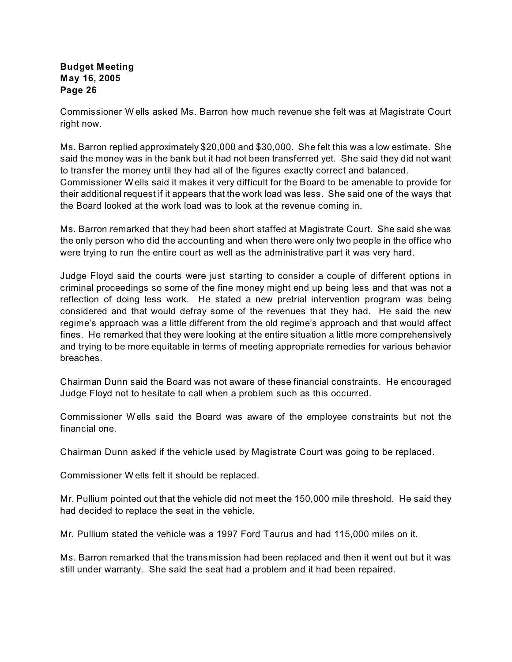Commissioner W ells asked Ms. Barron how much revenue she felt was at Magistrate Court right now.

Ms. Barron replied approximately \$20,000 and \$30,000. She felt this was a low estimate. She said the money was in the bank but it had not been transferred yet. She said they did not want to transfer the money until they had all of the figures exactly correct and balanced. Commissioner W ells said it makes it very difficult for the Board to be amenable to provide for their additional request if it appears that the work load was less. She said one of the ways that the Board looked at the work load was to look at the revenue coming in.

Ms. Barron remarked that they had been short staffed at Magistrate Court. She said she was the only person who did the accounting and when there were only two people in the office who were trying to run the entire court as well as the administrative part it was very hard.

Judge Floyd said the courts were just starting to consider a couple of different options in criminal proceedings so some of the fine money might end up being less and that was not a reflection of doing less work. He stated a new pretrial intervention program was being considered and that would defray some of the revenues that they had. He said the new regime's approach was a little different from the old regime's approach and that would affect fines. He remarked that they were looking at the entire situation a little more comprehensively and trying to be more equitable in terms of meeting appropriate remedies for various behavior breaches.

Chairman Dunn said the Board was not aware of these financial constraints. He encouraged Judge Floyd not to hesitate to call when a problem such as this occurred.

Commissioner W ells said the Board was aware of the employee constraints but not the financial one.

Chairman Dunn asked if the vehicle used by Magistrate Court was going to be replaced.

Commissioner W ells felt it should be replaced.

Mr. Pullium pointed out that the vehicle did not meet the 150,000 mile threshold. He said they had decided to replace the seat in the vehicle.

Mr. Pullium stated the vehicle was a 1997 Ford Taurus and had 115,000 miles on it.

Ms. Barron remarked that the transmission had been replaced and then it went out but it was still under warranty. She said the seat had a problem and it had been repaired.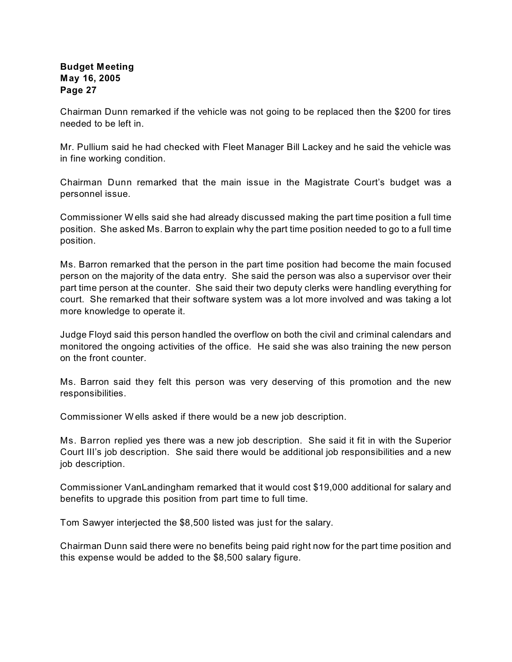Chairman Dunn remarked if the vehicle was not going to be replaced then the \$200 for tires needed to be left in.

Mr. Pullium said he had checked with Fleet Manager Bill Lackey and he said the vehicle was in fine working condition.

Chairman Dunn remarked that the main issue in the Magistrate Court's budget was a personnel issue.

Commissioner W ells said she had already discussed making the part time position a full time position. She asked Ms. Barron to explain why the part time position needed to go to a full time position.

Ms. Barron remarked that the person in the part time position had become the main focused person on the majority of the data entry. She said the person was also a supervisor over their part time person at the counter. She said their two deputy clerks were handling everything for court. She remarked that their software system was a lot more involved and was taking a lot more knowledge to operate it.

Judge Floyd said this person handled the overflow on both the civil and criminal calendars and monitored the ongoing activities of the office. He said she was also training the new person on the front counter.

Ms. Barron said they felt this person was very deserving of this promotion and the new responsibilities.

Commissioner W ells asked if there would be a new job description.

Ms. Barron replied yes there was a new job description. She said it fit in with the Superior Court III's job description. She said there would be additional job responsibilities and a new job description.

Commissioner VanLandingham remarked that it would cost \$19,000 additional for salary and benefits to upgrade this position from part time to full time.

Tom Sawyer interjected the \$8,500 listed was just for the salary.

Chairman Dunn said there were no benefits being paid right now for the part time position and this expense would be added to the \$8,500 salary figure.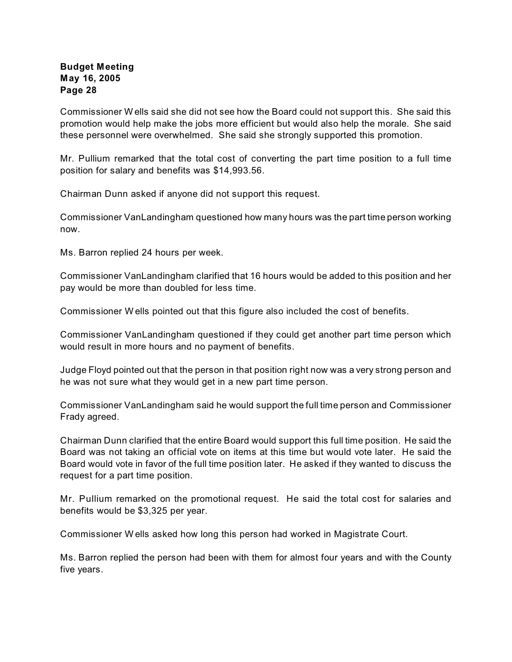Commissioner W ells said she did not see how the Board could not support this. She said this promotion would help make the jobs more efficient but would also help the morale. She said these personnel were overwhelmed. She said she strongly supported this promotion.

Mr. Pullium remarked that the total cost of converting the part time position to a full time position for salary and benefits was \$14,993.56.

Chairman Dunn asked if anyone did not support this request.

Commissioner VanLandingham questioned how many hours was the part time person working now.

Ms. Barron replied 24 hours per week.

Commissioner VanLandingham clarified that 16 hours would be added to this position and her pay would be more than doubled for less time.

Commissioner W ells pointed out that this figure also included the cost of benefits.

Commissioner VanLandingham questioned if they could get another part time person which would result in more hours and no payment of benefits.

Judge Floyd pointed out that the person in that position right now was a very strong person and he was not sure what they would get in a new part time person.

Commissioner VanLandingham said he would support the full time person and Commissioner Frady agreed.

Chairman Dunn clarified that the entire Board would support this full time position. He said the Board was not taking an official vote on items at this time but would vote later. He said the Board would vote in favor of the full time position later. He asked if they wanted to discuss the request for a part time position.

Mr. Pullium remarked on the promotional request. He said the total cost for salaries and benefits would be \$3,325 per year.

Commissioner W ells asked how long this person had worked in Magistrate Court.

Ms. Barron replied the person had been with them for almost four years and with the County five years.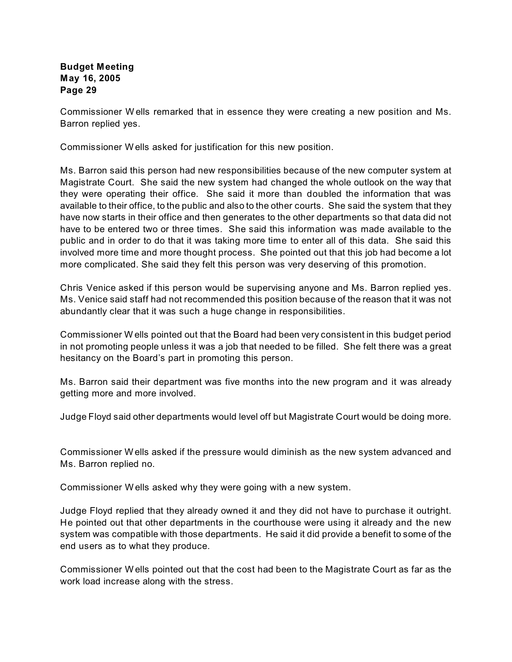Commissioner W ells remarked that in essence they were creating a new position and Ms. Barron replied yes.

Commissioner W ells asked for justification for this new position.

Ms. Barron said this person had new responsibilities because of the new computer system at Magistrate Court. She said the new system had changed the whole outlook on the way that they were operating their office. She said it more than doubled the information that was available to their office, to the public and also to the other courts. She said the system that they have now starts in their office and then generates to the other departments so that data did not have to be entered two or three times. She said this information was made available to the public and in order to do that it was taking more time to enter all of this data. She said this involved more time and more thought process. She pointed out that this job had become a lot more complicated. She said they felt this person was very deserving of this promotion.

Chris Venice asked if this person would be supervising anyone and Ms. Barron replied yes. Ms. Venice said staff had not recommended this position because of the reason that it was not abundantly clear that it was such a huge change in responsibilities.

Commissioner W ells pointed out that the Board had been very consistent in this budget period in not promoting people unless it was a job that needed to be filled. She felt there was a great hesitancy on the Board's part in promoting this person.

Ms. Barron said their department was five months into the new program and it was already getting more and more involved.

Judge Floyd said other departments would level off but Magistrate Court would be doing more.

Commissioner W ells asked if the pressure would diminish as the new system advanced and Ms. Barron replied no.

Commissioner W ells asked why they were going with a new system.

Judge Floyd replied that they already owned it and they did not have to purchase it outright. He pointed out that other departments in the courthouse were using it already and the new system was compatible with those departments. He said it did provide a benefit to some of the end users as to what they produce.

Commissioner W ells pointed out that the cost had been to the Magistrate Court as far as the work load increase along with the stress.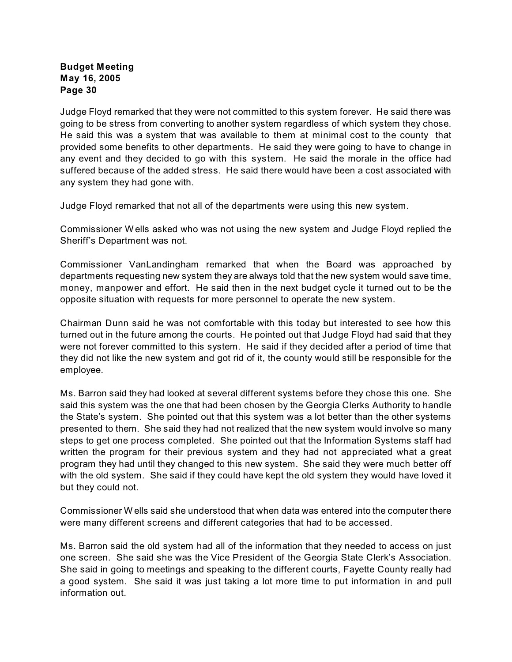Judge Floyd remarked that they were not committed to this system forever. He said there was going to be stress from converting to another system regardless of which system they chose. He said this was a system that was available to them at minimal cost to the county that provided some benefits to other departments. He said they were going to have to change in any event and they decided to go with this system. He said the morale in the office had suffered because of the added stress. He said there would have been a cost associated with any system they had gone with.

Judge Floyd remarked that not all of the departments were using this new system.

Commissioner W ells asked who was not using the new system and Judge Floyd replied the Sheriff's Department was not.

Commissioner VanLandingham remarked that when the Board was approached by departments requesting new system they are always told that the new system would save time, money, manpower and effort. He said then in the next budget cycle it turned out to be the opposite situation with requests for more personnel to operate the new system.

Chairman Dunn said he was not comfortable with this today but interested to see how this turned out in the future among the courts. He pointed out that Judge Floyd had said that they were not forever committed to this system. He said if they decided after a period of time that they did not like the new system and got rid of it, the county would still be responsible for the employee.

Ms. Barron said they had looked at several different systems before they chose this one. She said this system was the one that had been chosen by the Georgia Clerks Authority to handle the State's system. She pointed out that this system was a lot better than the other systems presented to them. She said they had not realized that the new system would involve so many steps to get one process completed. She pointed out that the Information Systems staff had written the program for their previous system and they had not appreciated what a great program they had until they changed to this new system. She said they were much better off with the old system. She said if they could have kept the old system they would have loved it but they could not.

Commissioner W ells said she understood that when data was entered into the computer there were many different screens and different categories that had to be accessed.

Ms. Barron said the old system had all of the information that they needed to access on just one screen. She said she was the Vice President of the Georgia State Clerk's Association. She said in going to meetings and speaking to the different courts, Fayette County really had a good system. She said it was just taking a lot more time to put information in and pull information out.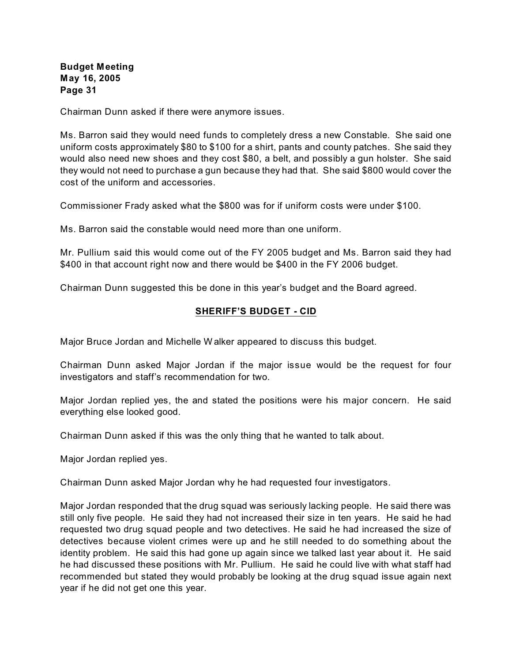Chairman Dunn asked if there were anymore issues.

Ms. Barron said they would need funds to completely dress a new Constable. She said one uniform costs approximately \$80 to \$100 for a shirt, pants and county patches. She said they would also need new shoes and they cost \$80, a belt, and possibly a gun holster. She said they would not need to purchase a gun because they had that. She said \$800 would cover the cost of the uniform and accessories.

Commissioner Frady asked what the \$800 was for if uniform costs were under \$100.

Ms. Barron said the constable would need more than one uniform.

Mr. Pullium said this would come out of the FY 2005 budget and Ms. Barron said they had \$400 in that account right now and there would be \$400 in the FY 2006 budget.

Chairman Dunn suggested this be done in this year's budget and the Board agreed.

#### **SHERIFF'S BUDGET - CID**

Major Bruce Jordan and Michelle W alker appeared to discuss this budget.

Chairman Dunn asked Major Jordan if the major issue would be the request for four investigators and staff's recommendation for two.

Major Jordan replied yes, the and stated the positions were his major concern. He said everything else looked good.

Chairman Dunn asked if this was the only thing that he wanted to talk about.

Major Jordan replied yes.

Chairman Dunn asked Major Jordan why he had requested four investigators.

Major Jordan responded that the drug squad was seriously lacking people. He said there was still only five people. He said they had not increased their size in ten years. He said he had requested two drug squad people and two detectives. He said he had increased the size of detectives because violent crimes were up and he still needed to do something about the identity problem. He said this had gone up again since we talked last year about it. He said he had discussed these positions with Mr. Pullium. He said he could live with what staff had recommended but stated they would probably be looking at the drug squad issue again next year if he did not get one this year.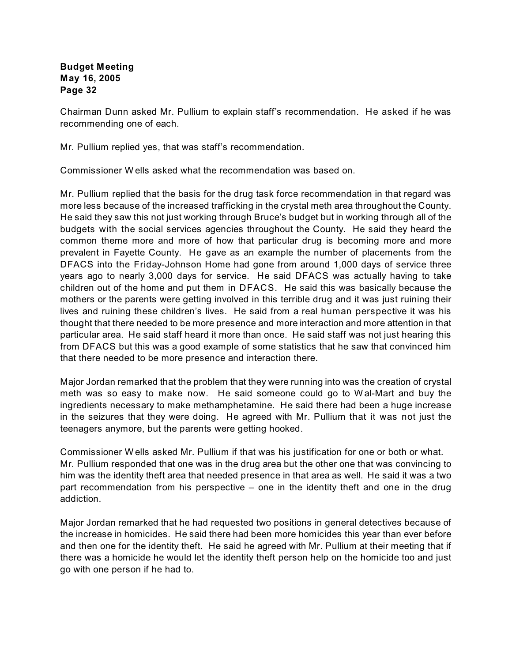Chairman Dunn asked Mr. Pullium to explain staff's recommendation. He asked if he was recommending one of each.

Mr. Pullium replied yes, that was staff's recommendation.

Commissioner W ells asked what the recommendation was based on.

Mr. Pullium replied that the basis for the drug task force recommendation in that regard was more less because of the increased trafficking in the crystal meth area throughout the County. He said they saw this not just working through Bruce's budget but in working through all of the budgets with the social services agencies throughout the County. He said they heard the common theme more and more of how that particular drug is becoming more and more prevalent in Fayette County. He gave as an example the number of placements from the DFACS into the Friday-Johnson Home had gone from around 1,000 days of service three years ago to nearly 3,000 days for service. He said DFACS was actually having to take children out of the home and put them in DFACS. He said this was basically because the mothers or the parents were getting involved in this terrible drug and it was just ruining their lives and ruining these children's lives. He said from a real human perspective it was his thought that there needed to be more presence and more interaction and more attention in that particular area. He said staff heard it more than once. He said staff was not just hearing this from DFACS but this was a good example of some statistics that he saw that convinced him that there needed to be more presence and interaction there.

Major Jordan remarked that the problem that they were running into was the creation of crystal meth was so easy to make now. He said someone could go to W al-Mart and buy the ingredients necessary to make methamphetamine. He said there had been a huge increase in the seizures that they were doing. He agreed with Mr. Pullium that it was not just the teenagers anymore, but the parents were getting hooked.

Commissioner W ells asked Mr. Pullium if that was his justification for one or both or what. Mr. Pullium responded that one was in the drug area but the other one that was convincing to him was the identity theft area that needed presence in that area as well. He said it was a two part recommendation from his perspective – one in the identity theft and one in the drug addiction.

Major Jordan remarked that he had requested two positions in general detectives because of the increase in homicides. He said there had been more homicides this year than ever before and then one for the identity theft. He said he agreed with Mr. Pullium at their meeting that if there was a homicide he would let the identity theft person help on the homicide too and just go with one person if he had to.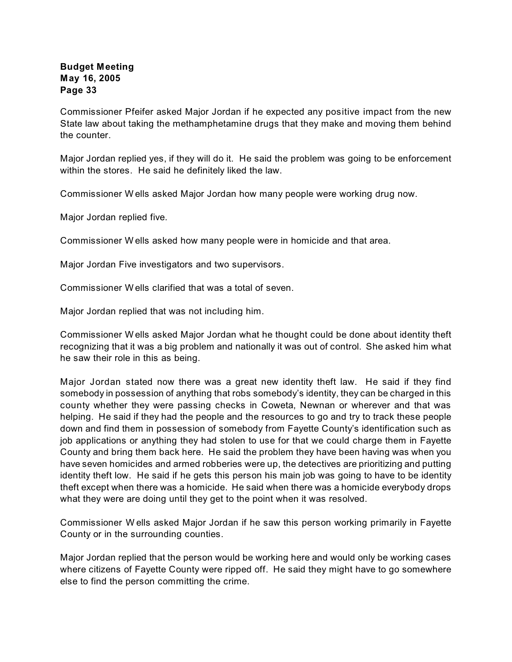Commissioner Pfeifer asked Major Jordan if he expected any positive impact from the new State law about taking the methamphetamine drugs that they make and moving them behind the counter.

Major Jordan replied yes, if they will do it. He said the problem was going to be enforcement within the stores. He said he definitely liked the law.

Commissioner W ells asked Major Jordan how many people were working drug now.

Major Jordan replied five.

Commissioner W ells asked how many people were in homicide and that area.

Major Jordan Five investigators and two supervisors.

Commissioner W ells clarified that was a total of seven.

Major Jordan replied that was not including him.

Commissioner W ells asked Major Jordan what he thought could be done about identity theft recognizing that it was a big problem and nationally it was out of control. She asked him what he saw their role in this as being.

Major Jordan stated now there was a great new identity theft law. He said if they find somebody in possession of anything that robs somebody's identity, they can be charged in this county whether they were passing checks in Coweta, Newnan or wherever and that was helping. He said if they had the people and the resources to go and try to track these people down and find them in possession of somebody from Fayette County's identification such as job applications or anything they had stolen to use for that we could charge them in Fayette County and bring them back here. He said the problem they have been having was when you have seven homicides and armed robberies were up, the detectives are prioritizing and putting identity theft low. He said if he gets this person his main job was going to have to be identity theft except when there was a homicide. He said when there was a homicide everybody drops what they were are doing until they get to the point when it was resolved.

Commissioner W ells asked Major Jordan if he saw this person working primarily in Fayette County or in the surrounding counties.

Major Jordan replied that the person would be working here and would only be working cases where citizens of Fayette County were ripped off. He said they might have to go somewhere else to find the person committing the crime.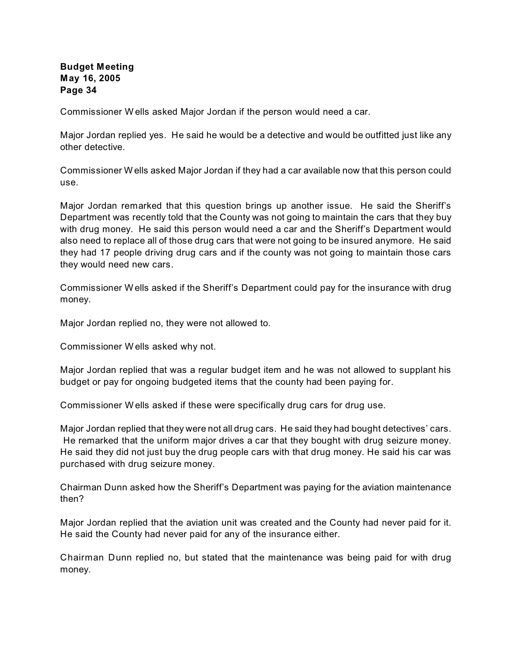Commissioner W ells asked Major Jordan if the person would need a car.

Major Jordan replied yes. He said he would be a detective and would be outfitted just like any other detective.

Commissioner W ells asked Major Jordan if they had a car available now that this person could use.

Major Jordan remarked that this question brings up another issue. He said the Sheriff's Department was recently told that the County was not going to maintain the cars that they buy with drug money. He said this person would need a car and the Sheriff's Department would also need to replace all of those drug cars that were not going to be insured anymore. He said they had 17 people driving drug cars and if the county was not going to maintain those cars they would need new cars.

Commissioner W ells asked if the Sheriff's Department could pay for the insurance with drug money.

Major Jordan replied no, they were not allowed to.

Commissioner W ells asked why not.

Major Jordan replied that was a regular budget item and he was not allowed to supplant his budget or pay for ongoing budgeted items that the county had been paying for.

Commissioner W ells asked if these were specifically drug cars for drug use.

Major Jordan replied that they were not all drug cars. He said they had bought detectives' cars. He remarked that the uniform major drives a car that they bought with drug seizure money. He said they did not just buy the drug people cars with that drug money. He said his car was purchased with drug seizure money.

Chairman Dunn asked how the Sheriff's Department was paying for the aviation maintenance then?

Major Jordan replied that the aviation unit was created and the County had never paid for it. He said the County had never paid for any of the insurance either.

Chairman Dunn replied no, but stated that the maintenance was being paid for with drug money.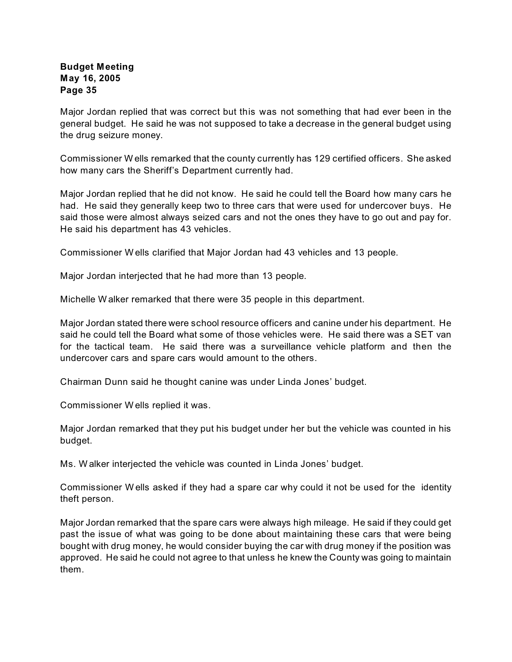Major Jordan replied that was correct but this was not something that had ever been in the general budget. He said he was not supposed to take a decrease in the general budget using the drug seizure money.

Commissioner W ells remarked that the county currently has 129 certified officers. She asked how many cars the Sheriff's Department currently had.

Major Jordan replied that he did not know. He said he could tell the Board how many cars he had. He said they generally keep two to three cars that were used for undercover buys. He said those were almost always seized cars and not the ones they have to go out and pay for. He said his department has 43 vehicles.

Commissioner W ells clarified that Major Jordan had 43 vehicles and 13 people.

Major Jordan interjected that he had more than 13 people.

Michelle W alker remarked that there were 35 people in this department.

Major Jordan stated there were school resource officers and canine under his department. He said he could tell the Board what some of those vehicles were. He said there was a SET van for the tactical team. He said there was a surveillance vehicle platform and then the undercover cars and spare cars would amount to the others.

Chairman Dunn said he thought canine was under Linda Jones' budget.

Commissioner W ells replied it was.

Major Jordan remarked that they put his budget under her but the vehicle was counted in his budget.

Ms. W alker interjected the vehicle was counted in Linda Jones' budget.

Commissioner W ells asked if they had a spare car why could it not be used for the identity theft person.

Major Jordan remarked that the spare cars were always high mileage. He said if they could get past the issue of what was going to be done about maintaining these cars that were being bought with drug money, he would consider buying the car with drug money if the position was approved. He said he could not agree to that unless he knew the County was going to maintain them.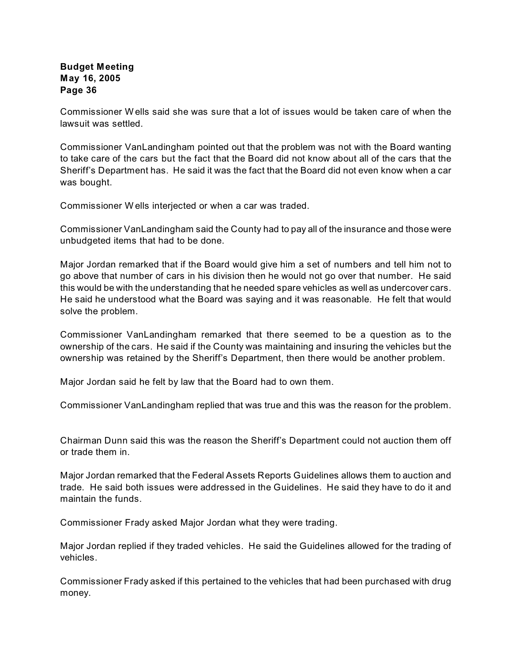Commissioner W ells said she was sure that a lot of issues would be taken care of when the lawsuit was settled.

Commissioner VanLandingham pointed out that the problem was not with the Board wanting to take care of the cars but the fact that the Board did not know about all of the cars that the Sheriff's Department has. He said it was the fact that the Board did not even know when a car was bought.

Commissioner W ells interjected or when a car was traded.

Commissioner VanLandingham said the County had to pay all of the insurance and those were unbudgeted items that had to be done.

Major Jordan remarked that if the Board would give him a set of numbers and tell him not to go above that number of cars in his division then he would not go over that number. He said this would be with the understanding that he needed spare vehicles as well as undercover cars. He said he understood what the Board was saying and it was reasonable. He felt that would solve the problem.

Commissioner VanLandingham remarked that there seemed to be a question as to the ownership of the cars. He said if the County was maintaining and insuring the vehicles but the ownership was retained by the Sheriff's Department, then there would be another problem.

Major Jordan said he felt by law that the Board had to own them.

Commissioner VanLandingham replied that was true and this was the reason for the problem.

Chairman Dunn said this was the reason the Sheriff's Department could not auction them off or trade them in.

Major Jordan remarked that the Federal Assets Reports Guidelines allows them to auction and trade. He said both issues were addressed in the Guidelines. He said they have to do it and maintain the funds.

Commissioner Frady asked Major Jordan what they were trading.

Major Jordan replied if they traded vehicles. He said the Guidelines allowed for the trading of vehicles.

Commissioner Frady asked if this pertained to the vehicles that had been purchased with drug money.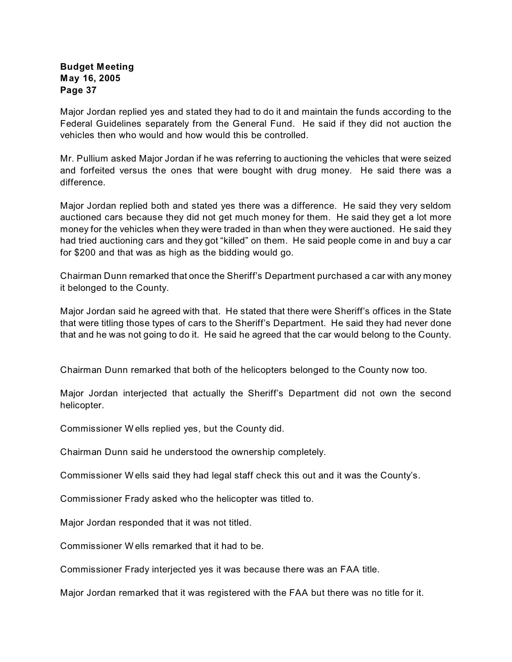Major Jordan replied yes and stated they had to do it and maintain the funds according to the Federal Guidelines separately from the General Fund. He said if they did not auction the vehicles then who would and how would this be controlled.

Mr. Pullium asked Major Jordan if he was referring to auctioning the vehicles that were seized and forfeited versus the ones that were bought with drug money. He said there was a difference.

Major Jordan replied both and stated yes there was a difference. He said they very seldom auctioned cars because they did not get much money for them. He said they get a lot more money for the vehicles when they were traded in than when they were auctioned. He said they had tried auctioning cars and they got "killed" on them. He said people come in and buy a car for \$200 and that was as high as the bidding would go.

Chairman Dunn remarked that once the Sheriff's Department purchased a car with any money it belonged to the County.

Major Jordan said he agreed with that. He stated that there were Sheriff's offices in the State that were titling those types of cars to the Sheriff's Department. He said they had never done that and he was not going to do it. He said he agreed that the car would belong to the County.

Chairman Dunn remarked that both of the helicopters belonged to the County now too.

Major Jordan interjected that actually the Sheriff's Department did not own the second helicopter.

Commissioner W ells replied yes, but the County did.

Chairman Dunn said he understood the ownership completely.

Commissioner W ells said they had legal staff check this out and it was the County's.

Commissioner Frady asked who the helicopter was titled to.

Major Jordan responded that it was not titled.

Commissioner W ells remarked that it had to be.

Commissioner Frady interjected yes it was because there was an FAA title.

Major Jordan remarked that it was registered with the FAA but there was no title for it.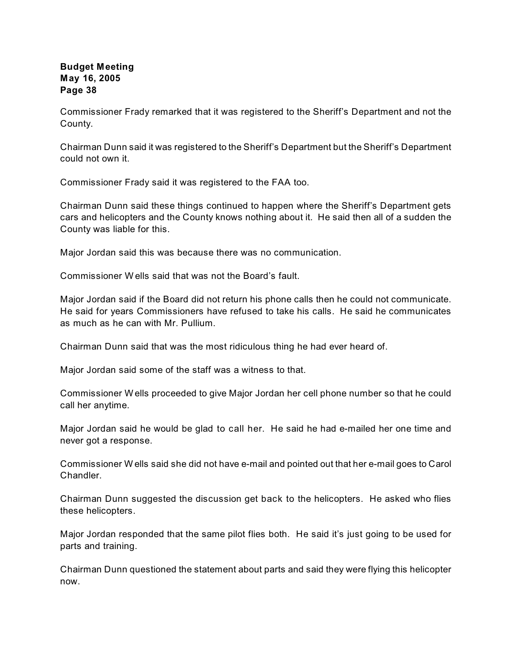Commissioner Frady remarked that it was registered to the Sheriff's Department and not the County.

Chairman Dunn said it was registered to the Sheriff's Department but the Sheriff's Department could not own it.

Commissioner Frady said it was registered to the FAA too.

Chairman Dunn said these things continued to happen where the Sheriff's Department gets cars and helicopters and the County knows nothing about it. He said then all of a sudden the County was liable for this.

Major Jordan said this was because there was no communication.

Commissioner W ells said that was not the Board's fault.

Major Jordan said if the Board did not return his phone calls then he could not communicate. He said for years Commissioners have refused to take his calls. He said he communicates as much as he can with Mr. Pullium.

Chairman Dunn said that was the most ridiculous thing he had ever heard of.

Major Jordan said some of the staff was a witness to that.

Commissioner W ells proceeded to give Major Jordan her cell phone number so that he could call her anytime.

Major Jordan said he would be glad to call her. He said he had e-mailed her one time and never got a response.

Commissioner W ells said she did not have e-mail and pointed out that her e-mail goes to Carol **Chandler** 

Chairman Dunn suggested the discussion get back to the helicopters. He asked who flies these helicopters.

Major Jordan responded that the same pilot flies both. He said it's just going to be used for parts and training.

Chairman Dunn questioned the statement about parts and said they were flying this helicopter now.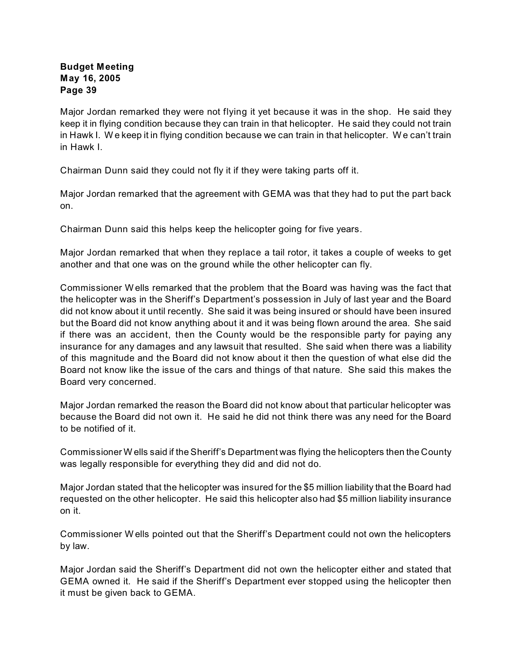Major Jordan remarked they were not flying it yet because it was in the shop. He said they keep it in flying condition because they can train in that helicopter. He said they could not train in Hawk I. W e keep it in flying condition because we can train in that helicopter. W e can't train in Hawk I.

Chairman Dunn said they could not fly it if they were taking parts off it.

Major Jordan remarked that the agreement with GEMA was that they had to put the part back on.

Chairman Dunn said this helps keep the helicopter going for five years.

Major Jordan remarked that when they replace a tail rotor, it takes a couple of weeks to get another and that one was on the ground while the other helicopter can fly.

Commissioner W ells remarked that the problem that the Board was having was the fact that the helicopter was in the Sheriff's Department's possession in July of last year and the Board did not know about it until recently. She said it was being insured or should have been insured but the Board did not know anything about it and it was being flown around the area. She said if there was an accident, then the County would be the responsible party for paying any insurance for any damages and any lawsuit that resulted. She said when there was a liability of this magnitude and the Board did not know about it then the question of what else did the Board not know like the issue of the cars and things of that nature. She said this makes the Board very concerned.

Major Jordan remarked the reason the Board did not know about that particular helicopter was because the Board did not own it. He said he did not think there was any need for the Board to be notified of it.

Commissioner W ells said if the Sheriff's Department was flying the helicopters then the County was legally responsible for everything they did and did not do.

Major Jordan stated that the helicopter was insured for the \$5 million liability that the Board had requested on the other helicopter. He said this helicopter also had \$5 million liability insurance on it.

Commissioner W ells pointed out that the Sheriff's Department could not own the helicopters by law.

Major Jordan said the Sheriff's Department did not own the helicopter either and stated that GEMA owned it. He said if the Sheriff's Department ever stopped using the helicopter then it must be given back to GEMA.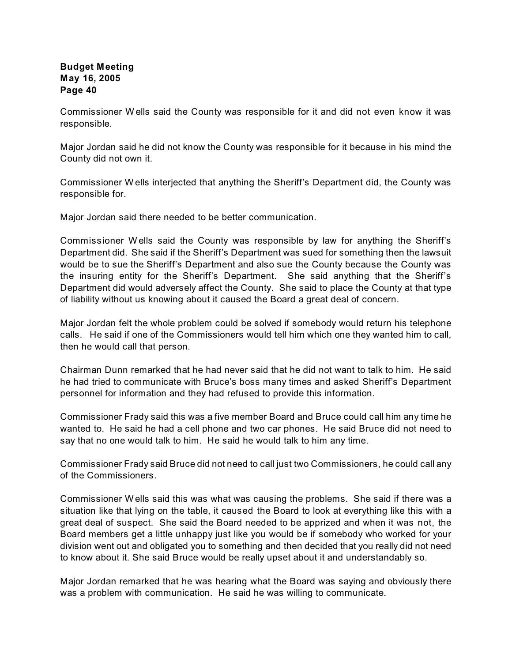Commissioner W ells said the County was responsible for it and did not even know it was responsible.

Major Jordan said he did not know the County was responsible for it because in his mind the County did not own it.

Commissioner W ells interjected that anything the Sheriff's Department did, the County was responsible for.

Major Jordan said there needed to be better communication.

Commissioner W ells said the County was responsible by law for anything the Sheriff's Department did. She said if the Sheriff's Department was sued for something then the lawsuit would be to sue the Sheriff's Department and also sue the County because the County was the insuring entity for the Sheriff's Department. She said anything that the Sheriff's Department did would adversely affect the County. She said to place the County at that type of liability without us knowing about it caused the Board a great deal of concern.

Major Jordan felt the whole problem could be solved if somebody would return his telephone calls. He said if one of the Commissioners would tell him which one they wanted him to call, then he would call that person.

Chairman Dunn remarked that he had never said that he did not want to talk to him. He said he had tried to communicate with Bruce's boss many times and asked Sheriff's Department personnel for information and they had refused to provide this information.

Commissioner Frady said this was a five member Board and Bruce could call him any time he wanted to. He said he had a cell phone and two car phones. He said Bruce did not need to say that no one would talk to him. He said he would talk to him any time.

Commissioner Frady said Bruce did not need to call just two Commissioners, he could call any of the Commissioners.

Commissioner W ells said this was what was causing the problems. She said if there was a situation like that lying on the table, it caused the Board to look at everything like this with a great deal of suspect. She said the Board needed to be apprized and when it was not, the Board members get a little unhappy just like you would be if somebody who worked for your division went out and obligated you to something and then decided that you really did not need to know about it. She said Bruce would be really upset about it and understandably so.

Major Jordan remarked that he was hearing what the Board was saying and obviously there was a problem with communication. He said he was willing to communicate.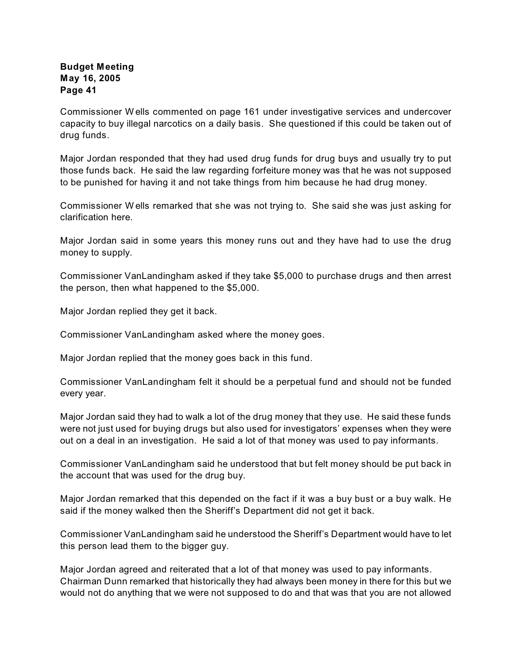Commissioner W ells commented on page 161 under investigative services and undercover capacity to buy illegal narcotics on a daily basis. She questioned if this could be taken out of drug funds.

Major Jordan responded that they had used drug funds for drug buys and usually try to put those funds back. He said the law regarding forfeiture money was that he was not supposed to be punished for having it and not take things from him because he had drug money.

Commissioner W ells remarked that she was not trying to. She said she was just asking for clarification here.

Major Jordan said in some years this money runs out and they have had to use the drug money to supply.

Commissioner VanLandingham asked if they take \$5,000 to purchase drugs and then arrest the person, then what happened to the \$5,000.

Major Jordan replied they get it back.

Commissioner VanLandingham asked where the money goes.

Major Jordan replied that the money goes back in this fund.

Commissioner VanLandingham felt it should be a perpetual fund and should not be funded every year.

Major Jordan said they had to walk a lot of the drug money that they use. He said these funds were not just used for buying drugs but also used for investigators' expenses when they were out on a deal in an investigation. He said a lot of that money was used to pay informants.

Commissioner VanLandingham said he understood that but felt money should be put back in the account that was used for the drug buy.

Major Jordan remarked that this depended on the fact if it was a buy bust or a buy walk. He said if the money walked then the Sheriff's Department did not get it back.

Commissioner VanLandingham said he understood the Sheriff's Department would have to let this person lead them to the bigger guy.

Major Jordan agreed and reiterated that a lot of that money was used to pay informants. Chairman Dunn remarked that historically they had always been money in there for this but we would not do anything that we were not supposed to do and that was that you are not allowed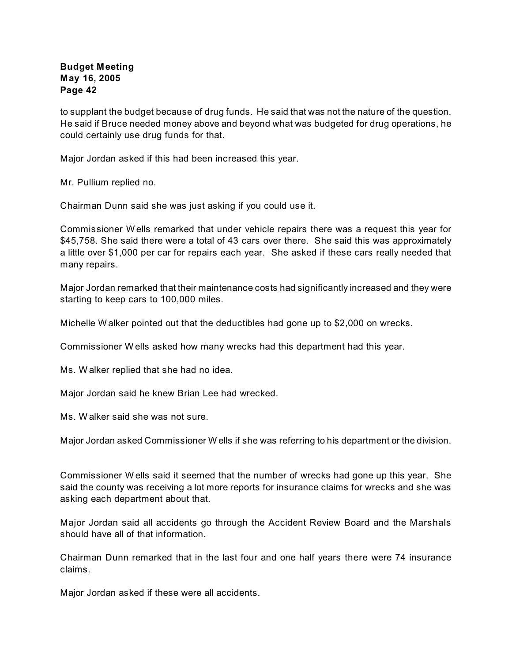to supplant the budget because of drug funds. He said that was not the nature of the question. He said if Bruce needed money above and beyond what was budgeted for drug operations, he could certainly use drug funds for that.

Major Jordan asked if this had been increased this year.

Mr. Pullium replied no.

Chairman Dunn said she was just asking if you could use it.

Commissioner W ells remarked that under vehicle repairs there was a request this year for \$45,758. She said there were a total of 43 cars over there. She said this was approximately a little over \$1,000 per car for repairs each year. She asked if these cars really needed that many repairs.

Major Jordan remarked that their maintenance costs had significantly increased and they were starting to keep cars to 100,000 miles.

Michelle W alker pointed out that the deductibles had gone up to \$2,000 on wrecks.

Commissioner W ells asked how many wrecks had this department had this year.

Ms. W alker replied that she had no idea.

Major Jordan said he knew Brian Lee had wrecked.

Ms. W alker said she was not sure.

Major Jordan asked Commissioner W ells if she was referring to his department or the division.

Commissioner W ells said it seemed that the number of wrecks had gone up this year. She said the county was receiving a lot more reports for insurance claims for wrecks and she was asking each department about that.

Major Jordan said all accidents go through the Accident Review Board and the Marshals should have all of that information.

Chairman Dunn remarked that in the last four and one half years there were 74 insurance claims.

Major Jordan asked if these were all accidents.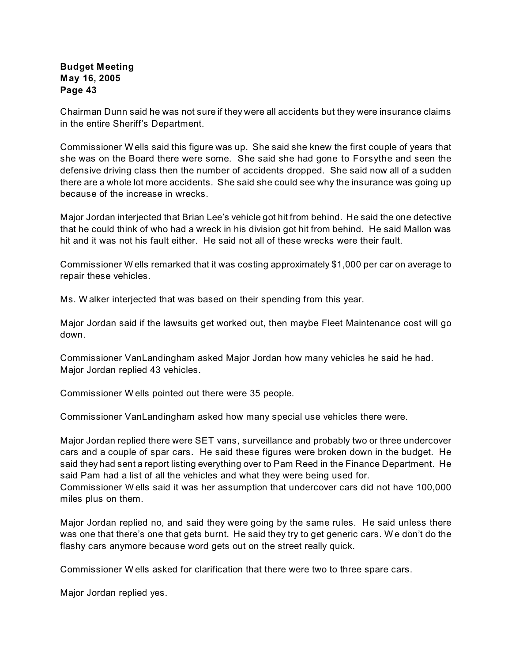Chairman Dunn said he was not sure if they were all accidents but they were insurance claims in the entire Sheriff's Department.

Commissioner W ells said this figure was up. She said she knew the first couple of years that she was on the Board there were some. She said she had gone to Forsythe and seen the defensive driving class then the number of accidents dropped. She said now all of a sudden there are a whole lot more accidents. She said she could see why the insurance was going up because of the increase in wrecks.

Major Jordan interjected that Brian Lee's vehicle got hit from behind. He said the one detective that he could think of who had a wreck in his division got hit from behind. He said Mallon was hit and it was not his fault either. He said not all of these wrecks were their fault.

Commissioner W ells remarked that it was costing approximately \$1,000 per car on average to repair these vehicles.

Ms. W alker interjected that was based on their spending from this year.

Major Jordan said if the lawsuits get worked out, then maybe Fleet Maintenance cost will go down.

Commissioner VanLandingham asked Major Jordan how many vehicles he said he had. Major Jordan replied 43 vehicles.

Commissioner W ells pointed out there were 35 people.

Commissioner VanLandingham asked how many special use vehicles there were.

Major Jordan replied there were SET vans, surveillance and probably two or three undercover cars and a couple of spar cars. He said these figures were broken down in the budget. He said they had sent a report listing everything over to Pam Reed in the Finance Department. He said Pam had a list of all the vehicles and what they were being used for.

Commissioner W ells said it was her assumption that undercover cars did not have 100,000 miles plus on them.

Major Jordan replied no, and said they were going by the same rules. He said unless there was one that there's one that gets burnt. He said they try to get generic cars. W e don't do the flashy cars anymore because word gets out on the street really quick.

Commissioner W ells asked for clarification that there were two to three spare cars.

Major Jordan replied yes.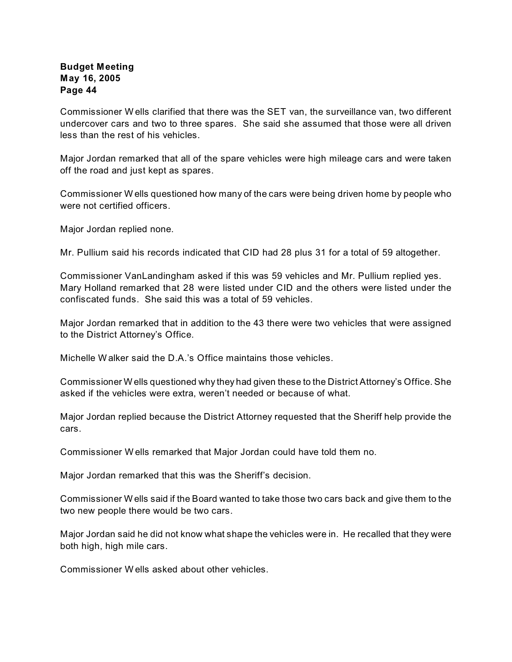Commissioner W ells clarified that there was the SET van, the surveillance van, two different undercover cars and two to three spares. She said she assumed that those were all driven less than the rest of his vehicles.

Major Jordan remarked that all of the spare vehicles were high mileage cars and were taken off the road and just kept as spares.

Commissioner W ells questioned how many of the cars were being driven home by people who were not certified officers.

Major Jordan replied none.

Mr. Pullium said his records indicated that CID had 28 plus 31 for a total of 59 altogether.

Commissioner VanLandingham asked if this was 59 vehicles and Mr. Pullium replied yes. Mary Holland remarked that 28 were listed under CID and the others were listed under the confiscated funds. She said this was a total of 59 vehicles.

Major Jordan remarked that in addition to the 43 there were two vehicles that were assigned to the District Attorney's Office.

Michelle Walker said the D A 's Office maintains those vehicles.

Commissioner W ells questioned why they had given these to the District Attorney's Office. She asked if the vehicles were extra, weren't needed or because of what.

Major Jordan replied because the District Attorney requested that the Sheriff help provide the cars.

Commissioner W ells remarked that Major Jordan could have told them no.

Major Jordan remarked that this was the Sheriff's decision.

Commissioner W ells said if the Board wanted to take those two cars back and give them to the two new people there would be two cars.

Major Jordan said he did not know what shape the vehicles were in. He recalled that they were both high, high mile cars.

Commissioner W ells asked about other vehicles.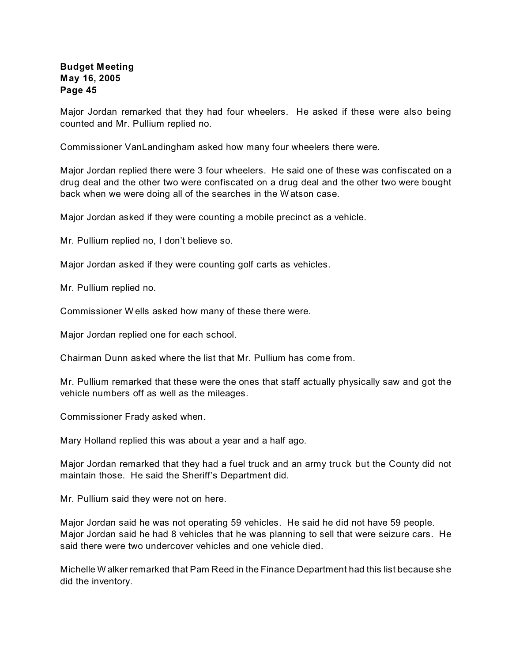Major Jordan remarked that they had four wheelers. He asked if these were also being counted and Mr. Pullium replied no.

Commissioner VanLandingham asked how many four wheelers there were.

Major Jordan replied there were 3 four wheelers. He said one of these was confiscated on a drug deal and the other two were confiscated on a drug deal and the other two were bought back when we were doing all of the searches in the W atson case.

Major Jordan asked if they were counting a mobile precinct as a vehicle.

Mr. Pullium replied no, I don't believe so.

Major Jordan asked if they were counting golf carts as vehicles.

Mr. Pullium replied no.

Commissioner W ells asked how many of these there were.

Major Jordan replied one for each school.

Chairman Dunn asked where the list that Mr. Pullium has come from.

Mr. Pullium remarked that these were the ones that staff actually physically saw and got the vehicle numbers off as well as the mileages.

Commissioner Frady asked when.

Mary Holland replied this was about a year and a half ago.

Major Jordan remarked that they had a fuel truck and an army truck but the County did not maintain those. He said the Sheriff's Department did.

Mr. Pullium said they were not on here.

Major Jordan said he was not operating 59 vehicles. He said he did not have 59 people. Major Jordan said he had 8 vehicles that he was planning to sell that were seizure cars. He said there were two undercover vehicles and one vehicle died.

Michelle W alker remarked that Pam Reed in the Finance Department had this list because she did the inventory.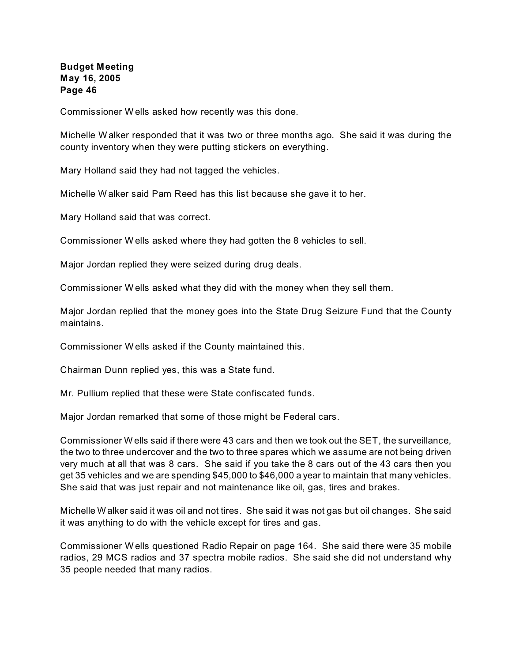Commissioner W ells asked how recently was this done.

Michelle W alker responded that it was two or three months ago. She said it was during the county inventory when they were putting stickers on everything.

Mary Holland said they had not tagged the vehicles.

Michelle W alker said Pam Reed has this list because she gave it to her.

Mary Holland said that was correct.

Commissioner W ells asked where they had gotten the 8 vehicles to sell.

Major Jordan replied they were seized during drug deals.

Commissioner W ells asked what they did with the money when they sell them.

Major Jordan replied that the money goes into the State Drug Seizure Fund that the County maintains.

Commissioner W ells asked if the County maintained this.

Chairman Dunn replied yes, this was a State fund.

Mr. Pullium replied that these were State confiscated funds.

Major Jordan remarked that some of those might be Federal cars.

Commissioner W ells said if there were 43 cars and then we took out the SET, the surveillance, the two to three undercover and the two to three spares which we assume are not being driven very much at all that was 8 cars. She said if you take the 8 cars out of the 43 cars then you get 35 vehicles and we are spending \$45,000 to \$46,000 a year to maintain that many vehicles. She said that was just repair and not maintenance like oil, gas, tires and brakes.

Michelle W alker said it was oil and not tires. She said it was not gas but oil changes. She said it was anything to do with the vehicle except for tires and gas.

Commissioner W ells questioned Radio Repair on page 164. She said there were 35 mobile radios, 29 MCS radios and 37 spectra mobile radios. She said she did not understand why 35 people needed that many radios.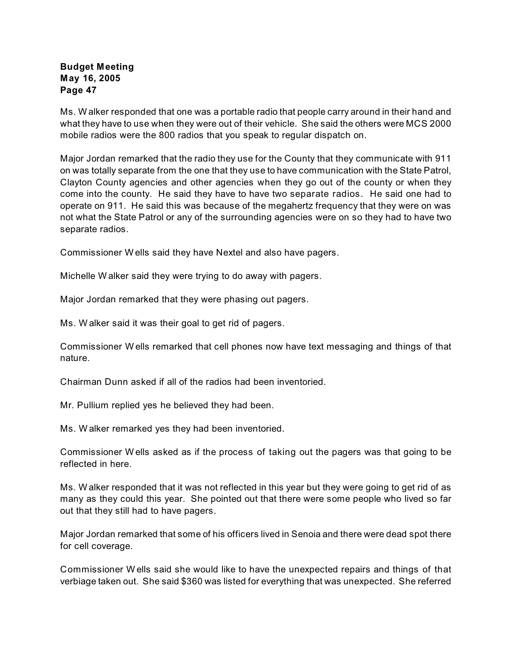Ms. W alker responded that one was a portable radio that people carry around in their hand and what they have to use when they were out of their vehicle. She said the others were MCS 2000 mobile radios were the 800 radios that you speak to regular dispatch on.

Major Jordan remarked that the radio they use for the County that they communicate with 911 on was totally separate from the one that they use to have communication with the State Patrol, Clayton County agencies and other agencies when they go out of the county or when they come into the county. He said they have to have two separate radios. He said one had to operate on 911. He said this was because of the megahertz frequency that they were on was not what the State Patrol or any of the surrounding agencies were on so they had to have two separate radios.

Commissioner W ells said they have Nextel and also have pagers.

Michelle W alker said they were trying to do away with pagers.

Major Jordan remarked that they were phasing out pagers.

Ms. W alker said it was their goal to get rid of pagers.

Commissioner W ells remarked that cell phones now have text messaging and things of that nature.

Chairman Dunn asked if all of the radios had been inventoried.

Mr. Pullium replied yes he believed they had been.

Ms. W alker remarked yes they had been inventoried.

Commissioner W ells asked as if the process of taking out the pagers was that going to be reflected in here.

Ms. W alker responded that it was not reflected in this year but they were going to get rid of as many as they could this year. She pointed out that there were some people who lived so far out that they still had to have pagers.

Major Jordan remarked that some of his officers lived in Senoia and there were dead spot there for cell coverage.

Commissioner W ells said she would like to have the unexpected repairs and things of that verbiage taken out. She said \$360 was listed for everything that was unexpected. She referred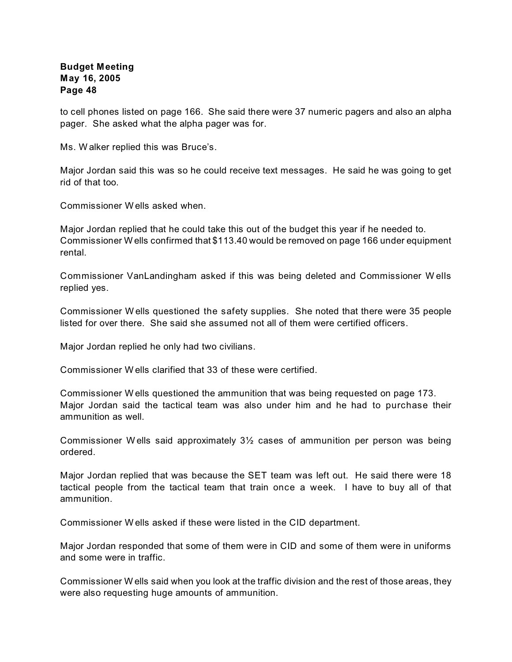to cell phones listed on page 166. She said there were 37 numeric pagers and also an alpha pager. She asked what the alpha pager was for.

Ms. W alker replied this was Bruce's.

Major Jordan said this was so he could receive text messages. He said he was going to get rid of that too.

Commissioner W ells asked when.

Major Jordan replied that he could take this out of the budget this year if he needed to. Commissioner W ells confirmed that \$113.40 would be removed on page 166 under equipment rental.

Commissioner VanLandingham asked if this was being deleted and Commissioner W ells replied yes.

Commissioner W ells questioned the safety supplies. She noted that there were 35 people listed for over there. She said she assumed not all of them were certified officers.

Major Jordan replied he only had two civilians.

Commissioner W ells clarified that 33 of these were certified.

Commissioner W ells questioned the ammunition that was being requested on page 173. Major Jordan said the tactical team was also under him and he had to purchase their ammunition as well.

Commissioner W ells said approximately 3½ cases of ammunition per person was being ordered.

Major Jordan replied that was because the SET team was left out. He said there were 18 tactical people from the tactical team that train once a week. I have to buy all of that ammunition.

Commissioner W ells asked if these were listed in the CID department.

Major Jordan responded that some of them were in CID and some of them were in uniforms and some were in traffic.

Commissioner W ells said when you look at the traffic division and the rest of those areas, they were also requesting huge amounts of ammunition.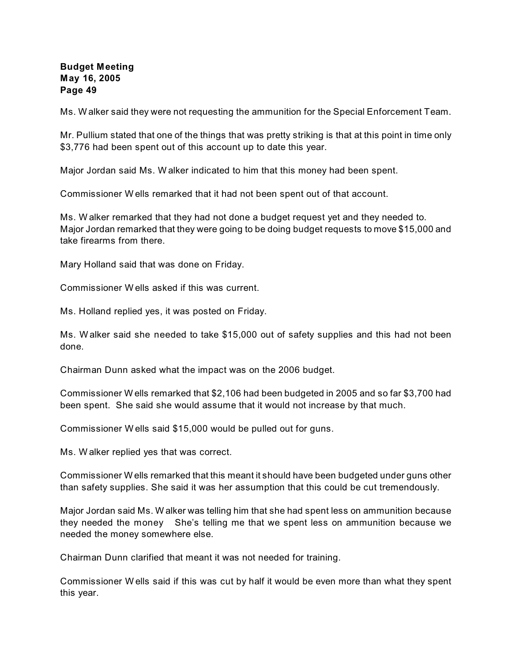Ms. W alker said they were not requesting the ammunition for the Special Enforcement Team.

Mr. Pullium stated that one of the things that was pretty striking is that at this point in time only \$3,776 had been spent out of this account up to date this year.

Major Jordan said Ms. W alker indicated to him that this money had been spent.

Commissioner W ells remarked that it had not been spent out of that account.

Ms. W alker remarked that they had not done a budget request yet and they needed to. Major Jordan remarked that they were going to be doing budget requests to move \$15,000 and take firearms from there.

Mary Holland said that was done on Friday.

Commissioner W ells asked if this was current.

Ms. Holland replied yes, it was posted on Friday.

Ms. W alker said she needed to take \$15,000 out of safety supplies and this had not been done.

Chairman Dunn asked what the impact was on the 2006 budget.

Commissioner W ells remarked that \$2,106 had been budgeted in 2005 and so far \$3,700 had been spent. She said she would assume that it would not increase by that much.

Commissioner W ells said \$15,000 would be pulled out for guns.

Ms. W alker replied yes that was correct.

Commissioner W ells remarked that this meant it should have been budgeted under guns other than safety supplies. She said it was her assumption that this could be cut tremendously.

Major Jordan said Ms. W alker was telling him that she had spent less on ammunition because they needed the money She's telling me that we spent less on ammunition because we needed the money somewhere else.

Chairman Dunn clarified that meant it was not needed for training.

Commissioner W ells said if this was cut by half it would be even more than what they spent this year.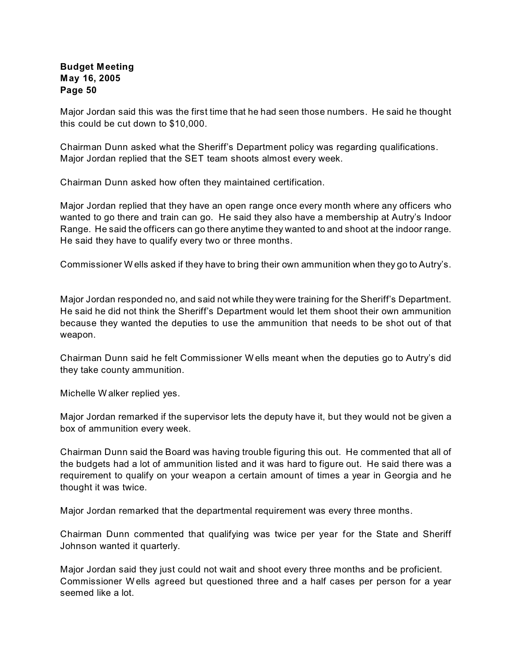Major Jordan said this was the first time that he had seen those numbers. He said he thought this could be cut down to \$10,000.

Chairman Dunn asked what the Sheriff's Department policy was regarding qualifications. Major Jordan replied that the SET team shoots almost every week.

Chairman Dunn asked how often they maintained certification.

Major Jordan replied that they have an open range once every month where any officers who wanted to go there and train can go. He said they also have a membership at Autry's Indoor Range. He said the officers can go there anytime they wanted to and shoot at the indoor range. He said they have to qualify every two or three months.

Commissioner W ells asked if they have to bring their own ammunition when they go to Autry's.

Major Jordan responded no, and said not while they were training for the Sheriff's Department. He said he did not think the Sheriff's Department would let them shoot their own ammunition because they wanted the deputies to use the ammunition that needs to be shot out of that weapon.

Chairman Dunn said he felt Commissioner W ells meant when the deputies go to Autry's did they take county ammunition.

Michelle W alker replied yes.

Major Jordan remarked if the supervisor lets the deputy have it, but they would not be given a box of ammunition every week.

Chairman Dunn said the Board was having trouble figuring this out. He commented that all of the budgets had a lot of ammunition listed and it was hard to figure out. He said there was a requirement to qualify on your weapon a certain amount of times a year in Georgia and he thought it was twice.

Major Jordan remarked that the departmental requirement was every three months.

Chairman Dunn commented that qualifying was twice per year for the State and Sheriff Johnson wanted it quarterly.

Major Jordan said they just could not wait and shoot every three months and be proficient. Commissioner W ells agreed but questioned three and a half cases per person for a year seemed like a lot.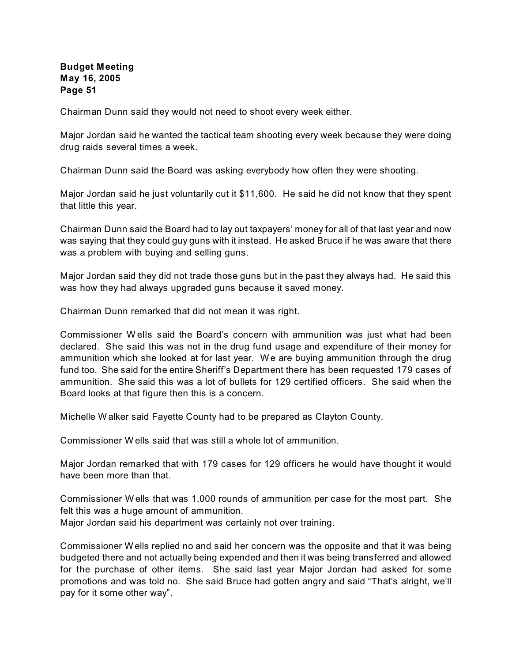Chairman Dunn said they would not need to shoot every week either.

Major Jordan said he wanted the tactical team shooting every week because they were doing drug raids several times a week.

Chairman Dunn said the Board was asking everybody how often they were shooting.

Major Jordan said he just voluntarily cut it \$11,600. He said he did not know that they spent that little this year.

Chairman Dunn said the Board had to lay out taxpayers' money for all of that last year and now was saying that they could guy guns with it instead. He asked Bruce if he was aware that there was a problem with buying and selling guns.

Major Jordan said they did not trade those guns but in the past they always had. He said this was how they had always upgraded guns because it saved money.

Chairman Dunn remarked that did not mean it was right.

Commissioner W ells said the Board's concern with ammunition was just what had been declared. She said this was not in the drug fund usage and expenditure of their money for ammunition which she looked at for last year. W e are buying ammunition through the drug fund too. She said for the entire Sheriff's Department there has been requested 179 cases of ammunition. She said this was a lot of bullets for 129 certified officers. She said when the Board looks at that figure then this is a concern.

Michelle W alker said Fayette County had to be prepared as Clayton County.

Commissioner W ells said that was still a whole lot of ammunition.

Major Jordan remarked that with 179 cases for 129 officers he would have thought it would have been more than that.

Commissioner W ells that was 1,000 rounds of ammunition per case for the most part. She felt this was a huge amount of ammunition.

Major Jordan said his department was certainly not over training.

Commissioner W ells replied no and said her concern was the opposite and that it was being budgeted there and not actually being expended and then it was being transferred and allowed for the purchase of other items. She said last year Major Jordan had asked for some promotions and was told no. She said Bruce had gotten angry and said "That's alright, we'll pay for it some other way".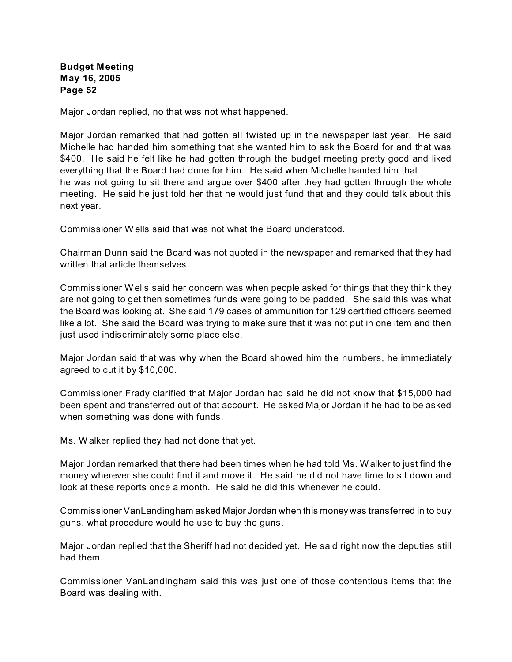Major Jordan replied, no that was not what happened.

Major Jordan remarked that had gotten all twisted up in the newspaper last year. He said Michelle had handed him something that she wanted him to ask the Board for and that was \$400. He said he felt like he had gotten through the budget meeting pretty good and liked everything that the Board had done for him. He said when Michelle handed him that he was not going to sit there and argue over \$400 after they had gotten through the whole meeting. He said he just told her that he would just fund that and they could talk about this next year.

Commissioner W ells said that was not what the Board understood.

Chairman Dunn said the Board was not quoted in the newspaper and remarked that they had written that article themselves.

Commissioner W ells said her concern was when people asked for things that they think they are not going to get then sometimes funds were going to be padded. She said this was what the Board was looking at. She said 179 cases of ammunition for 129 certified officers seemed like a lot. She said the Board was trying to make sure that it was not put in one item and then just used indiscriminately some place else.

Major Jordan said that was why when the Board showed him the numbers, he immediately agreed to cut it by \$10,000.

Commissioner Frady clarified that Major Jordan had said he did not know that \$15,000 had been spent and transferred out of that account. He asked Major Jordan if he had to be asked when something was done with funds.

Ms. W alker replied they had not done that yet.

Major Jordan remarked that there had been times when he had told Ms. W alker to just find the money wherever she could find it and move it. He said he did not have time to sit down and look at these reports once a month. He said he did this whenever he could.

Commissioner VanLandingham asked Major Jordan when this money was transferred in to buy guns, what procedure would he use to buy the guns.

Major Jordan replied that the Sheriff had not decided yet. He said right now the deputies still had them.

Commissioner VanLandingham said this was just one of those contentious items that the Board was dealing with.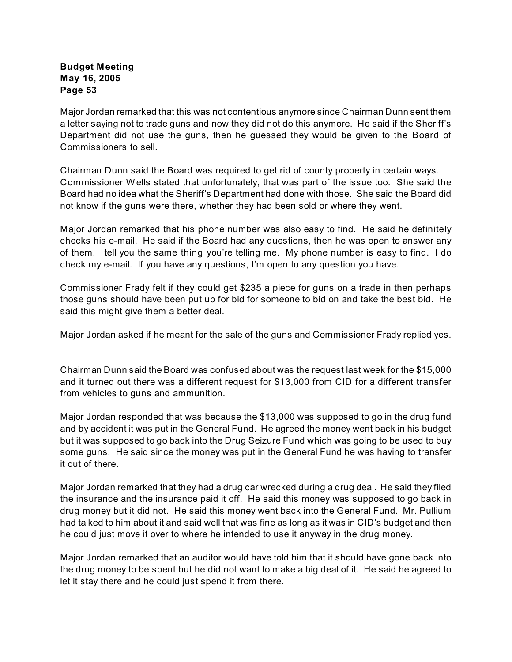Major Jordan remarked that this was not contentious anymore since Chairman Dunn sent them a letter saying not to trade guns and now they did not do this anymore. He said if the Sheriff's Department did not use the guns, then he guessed they would be given to the Board of Commissioners to sell.

Chairman Dunn said the Board was required to get rid of county property in certain ways. Commissioner W ells stated that unfortunately, that was part of the issue too. She said the Board had no idea what the Sheriff's Department had done with those. She said the Board did not know if the guns were there, whether they had been sold or where they went.

Major Jordan remarked that his phone number was also easy to find. He said he definitely checks his e-mail. He said if the Board had any questions, then he was open to answer any of them. tell you the same thing you're telling me. My phone number is easy to find. I do check my e-mail. If you have any questions, I'm open to any question you have.

Commissioner Frady felt if they could get \$235 a piece for guns on a trade in then perhaps those guns should have been put up for bid for someone to bid on and take the best bid. He said this might give them a better deal.

Major Jordan asked if he meant for the sale of the guns and Commissioner Frady replied yes.

Chairman Dunn said the Board was confused about was the request last week for the \$15,000 and it turned out there was a different request for \$13,000 from CID for a different transfer from vehicles to guns and ammunition.

Major Jordan responded that was because the \$13,000 was supposed to go in the drug fund and by accident it was put in the General Fund. He agreed the money went back in his budget but it was supposed to go back into the Drug Seizure Fund which was going to be used to buy some guns. He said since the money was put in the General Fund he was having to transfer it out of there.

Major Jordan remarked that they had a drug car wrecked during a drug deal. He said they filed the insurance and the insurance paid it off. He said this money was supposed to go back in drug money but it did not. He said this money went back into the General Fund. Mr. Pullium had talked to him about it and said well that was fine as long as it was in CID's budget and then he could just move it over to where he intended to use it anyway in the drug money.

Major Jordan remarked that an auditor would have told him that it should have gone back into the drug money to be spent but he did not want to make a big deal of it. He said he agreed to let it stay there and he could just spend it from there.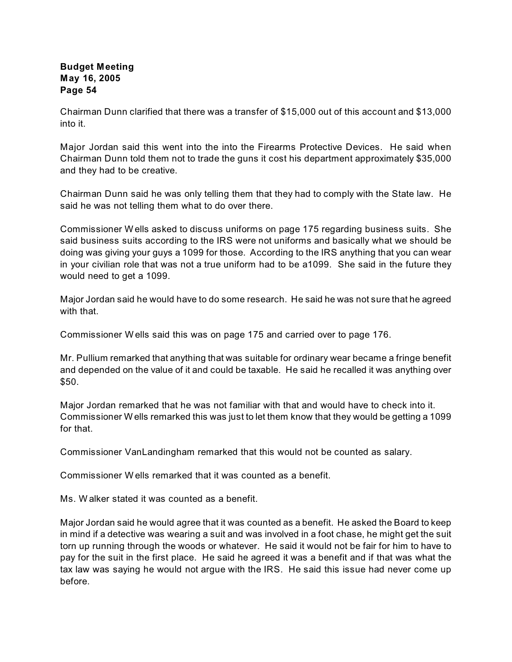Chairman Dunn clarified that there was a transfer of \$15,000 out of this account and \$13,000 into it.

Major Jordan said this went into the into the Firearms Protective Devices. He said when Chairman Dunn told them not to trade the guns it cost his department approximately \$35,000 and they had to be creative.

Chairman Dunn said he was only telling them that they had to comply with the State law. He said he was not telling them what to do over there.

Commissioner W ells asked to discuss uniforms on page 175 regarding business suits. She said business suits according to the IRS were not uniforms and basically what we should be doing was giving your guys a 1099 for those. According to the IRS anything that you can wear in your civilian role that was not a true uniform had to be a1099. She said in the future they would need to get a 1099.

Major Jordan said he would have to do some research. He said he was not sure that he agreed with that.

Commissioner W ells said this was on page 175 and carried over to page 176.

Mr. Pullium remarked that anything that was suitable for ordinary wear became a fringe benefit and depended on the value of it and could be taxable. He said he recalled it was anything over \$50.

Major Jordan remarked that he was not familiar with that and would have to check into it. Commissioner W ells remarked this was just to let them know that they would be getting a 1099 for that.

Commissioner VanLandingham remarked that this would not be counted as salary.

Commissioner W ells remarked that it was counted as a benefit.

Ms. W alker stated it was counted as a benefit.

Major Jordan said he would agree that it was counted as a benefit. He asked the Board to keep in mind if a detective was wearing a suit and was involved in a foot chase, he might get the suit torn up running through the woods or whatever. He said it would not be fair for him to have to pay for the suit in the first place. He said he agreed it was a benefit and if that was what the tax law was saying he would not argue with the IRS. He said this issue had never come up before.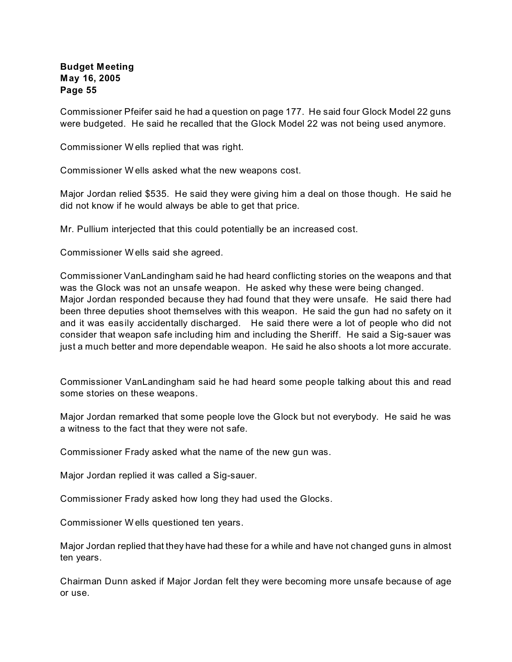Commissioner Pfeifer said he had a question on page 177. He said four Glock Model 22 guns were budgeted. He said he recalled that the Glock Model 22 was not being used anymore.

Commissioner W ells replied that was right.

Commissioner W ells asked what the new weapons cost.

Major Jordan relied \$535. He said they were giving him a deal on those though. He said he did not know if he would always be able to get that price.

Mr. Pullium interjected that this could potentially be an increased cost.

Commissioner W ells said she agreed.

Commissioner VanLandingham said he had heard conflicting stories on the weapons and that was the Glock was not an unsafe weapon. He asked why these were being changed. Major Jordan responded because they had found that they were unsafe. He said there had been three deputies shoot themselves with this weapon. He said the gun had no safety on it and it was easily accidentally discharged. He said there were a lot of people who did not consider that weapon safe including him and including the Sheriff. He said a Sig-sauer was just a much better and more dependable weapon. He said he also shoots a lot more accurate.

Commissioner VanLandingham said he had heard some people talking about this and read some stories on these weapons.

Major Jordan remarked that some people love the Glock but not everybody. He said he was a witness to the fact that they were not safe.

Commissioner Frady asked what the name of the new gun was.

Major Jordan replied it was called a Sig-sauer.

Commissioner Frady asked how long they had used the Glocks.

Commissioner W ells questioned ten years.

Major Jordan replied that they have had these for a while and have not changed guns in almost ten years.

Chairman Dunn asked if Major Jordan felt they were becoming more unsafe because of age or use.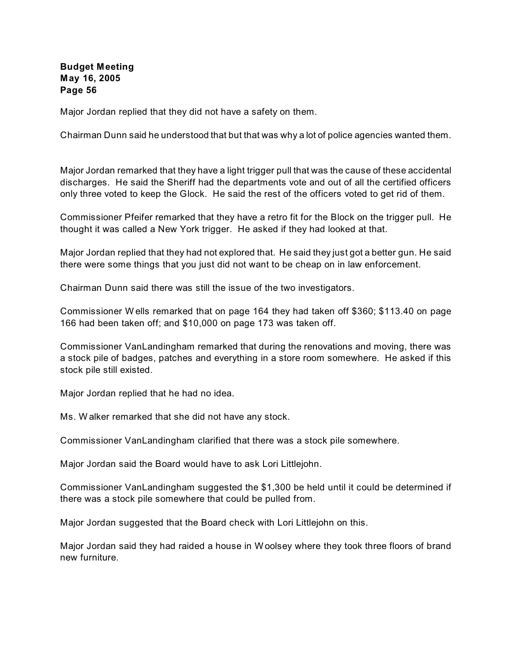Major Jordan replied that they did not have a safety on them.

Chairman Dunn said he understood that but that was why a lot of police agencies wanted them.

Major Jordan remarked that they have a light trigger pull that was the cause of these accidental discharges. He said the Sheriff had the departments vote and out of all the certified officers only three voted to keep the Glock. He said the rest of the officers voted to get rid of them.

Commissioner Pfeifer remarked that they have a retro fit for the Block on the trigger pull. He thought it was called a New York trigger. He asked if they had looked at that.

Major Jordan replied that they had not explored that. He said they just got a better gun. He said there were some things that you just did not want to be cheap on in law enforcement.

Chairman Dunn said there was still the issue of the two investigators.

Commissioner W ells remarked that on page 164 they had taken off \$360; \$113.40 on page 166 had been taken off; and \$10,000 on page 173 was taken off.

Commissioner VanLandingham remarked that during the renovations and moving, there was a stock pile of badges, patches and everything in a store room somewhere. He asked if this stock pile still existed.

Major Jordan replied that he had no idea.

Ms. W alker remarked that she did not have any stock.

Commissioner VanLandingham clarified that there was a stock pile somewhere.

Major Jordan said the Board would have to ask Lori Littlejohn.

Commissioner VanLandingham suggested the \$1,300 be held until it could be determined if there was a stock pile somewhere that could be pulled from.

Major Jordan suggested that the Board check with Lori Littlejohn on this.

Major Jordan said they had raided a house in W oolsey where they took three floors of brand new furniture.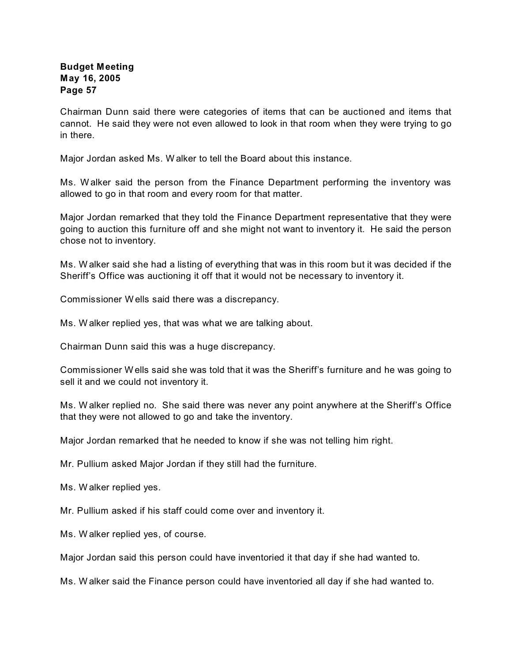Chairman Dunn said there were categories of items that can be auctioned and items that cannot. He said they were not even allowed to look in that room when they were trying to go in there.

Major Jordan asked Ms. W alker to tell the Board about this instance.

Ms. W alker said the person from the Finance Department performing the inventory was allowed to go in that room and every room for that matter.

Major Jordan remarked that they told the Finance Department representative that they were going to auction this furniture off and she might not want to inventory it. He said the person chose not to inventory.

Ms. W alker said she had a listing of everything that was in this room but it was decided if the Sheriff's Office was auctioning it off that it would not be necessary to inventory it.

Commissioner W ells said there was a discrepancy.

Ms. W alker replied yes, that was what we are talking about.

Chairman Dunn said this was a huge discrepancy.

Commissioner W ells said she was told that it was the Sheriff's furniture and he was going to sell it and we could not inventory it.

Ms. W alker replied no. She said there was never any point anywhere at the Sheriff's Office that they were not allowed to go and take the inventory.

Major Jordan remarked that he needed to know if she was not telling him right.

Mr. Pullium asked Major Jordan if they still had the furniture.

Ms. W alker replied yes.

Mr. Pullium asked if his staff could come over and inventory it.

Ms. W alker replied yes, of course.

Major Jordan said this person could have inventoried it that day if she had wanted to.

Ms. W alker said the Finance person could have inventoried all day if she had wanted to.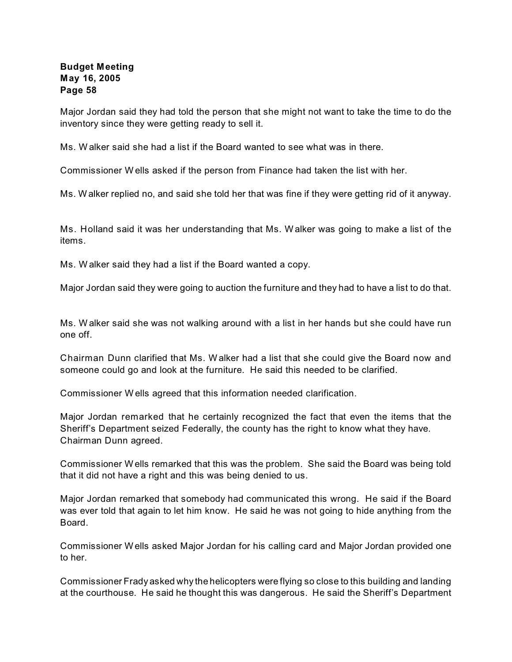Major Jordan said they had told the person that she might not want to take the time to do the inventory since they were getting ready to sell it.

Ms. W alker said she had a list if the Board wanted to see what was in there.

Commissioner W ells asked if the person from Finance had taken the list with her.

Ms. W alker replied no, and said she told her that was fine if they were getting rid of it anyway.

Ms. Holland said it was her understanding that Ms. W alker was going to make a list of the items.

Ms. W alker said they had a list if the Board wanted a copy.

Major Jordan said they were going to auction the furniture and they had to have a list to do that.

Ms. W alker said she was not walking around with a list in her hands but she could have run one off.

Chairman Dunn clarified that Ms. W alker had a list that she could give the Board now and someone could go and look at the furniture. He said this needed to be clarified.

Commissioner W ells agreed that this information needed clarification.

Major Jordan remarked that he certainly recognized the fact that even the items that the Sheriff's Department seized Federally, the county has the right to know what they have. Chairman Dunn agreed.

Commissioner W ells remarked that this was the problem. She said the Board was being told that it did not have a right and this was being denied to us.

Major Jordan remarked that somebody had communicated this wrong. He said if the Board was ever told that again to let him know. He said he was not going to hide anything from the Board.

Commissioner W ells asked Major Jordan for his calling card and Major Jordan provided one to her.

Commissioner Frady asked why the helicopters were flying so close to this building and landing at the courthouse. He said he thought this was dangerous. He said the Sheriff's Department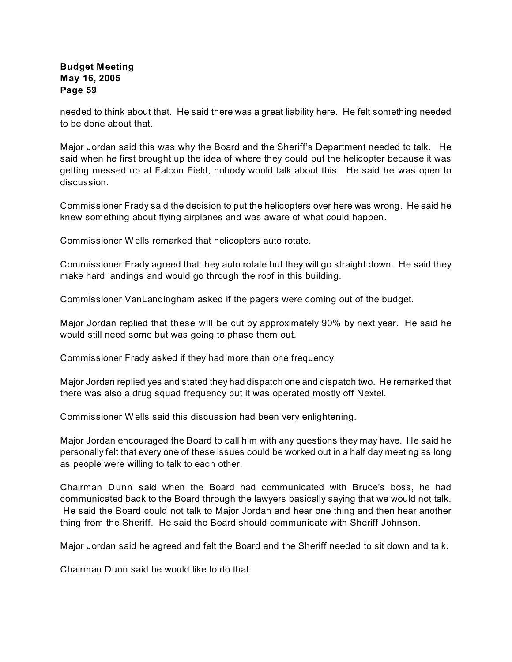needed to think about that. He said there was a great liability here. He felt something needed to be done about that.

Major Jordan said this was why the Board and the Sheriff's Department needed to talk. He said when he first brought up the idea of where they could put the helicopter because it was getting messed up at Falcon Field, nobody would talk about this. He said he was open to discussion.

Commissioner Frady said the decision to put the helicopters over here was wrong. He said he knew something about flying airplanes and was aware of what could happen.

Commissioner W ells remarked that helicopters auto rotate.

Commissioner Frady agreed that they auto rotate but they will go straight down. He said they make hard landings and would go through the roof in this building.

Commissioner VanLandingham asked if the pagers were coming out of the budget.

Major Jordan replied that these will be cut by approximately 90% by next year. He said he would still need some but was going to phase them out.

Commissioner Frady asked if they had more than one frequency.

Major Jordan replied yes and stated they had dispatch one and dispatch two. He remarked that there was also a drug squad frequency but it was operated mostly off Nextel.

Commissioner W ells said this discussion had been very enlightening.

Major Jordan encouraged the Board to call him with any questions they may have. He said he personally felt that every one of these issues could be worked out in a half day meeting as long as people were willing to talk to each other.

Chairman Dunn said when the Board had communicated with Bruce's boss, he had communicated back to the Board through the lawyers basically saying that we would not talk. He said the Board could not talk to Major Jordan and hear one thing and then hear another thing from the Sheriff. He said the Board should communicate with Sheriff Johnson.

Major Jordan said he agreed and felt the Board and the Sheriff needed to sit down and talk.

Chairman Dunn said he would like to do that.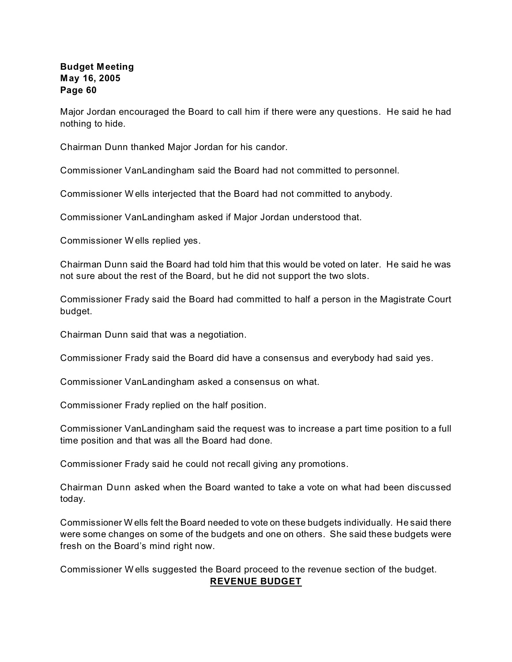Major Jordan encouraged the Board to call him if there were any questions. He said he had nothing to hide.

Chairman Dunn thanked Major Jordan for his candor.

Commissioner VanLandingham said the Board had not committed to personnel.

Commissioner W ells interjected that the Board had not committed to anybody.

Commissioner VanLandingham asked if Major Jordan understood that.

Commissioner W ells replied yes.

Chairman Dunn said the Board had told him that this would be voted on later. He said he was not sure about the rest of the Board, but he did not support the two slots.

Commissioner Frady said the Board had committed to half a person in the Magistrate Court budget.

Chairman Dunn said that was a negotiation.

Commissioner Frady said the Board did have a consensus and everybody had said yes.

Commissioner VanLandingham asked a consensus on what.

Commissioner Frady replied on the half position.

Commissioner VanLandingham said the request was to increase a part time position to a full time position and that was all the Board had done.

Commissioner Frady said he could not recall giving any promotions.

Chairman Dunn asked when the Board wanted to take a vote on what had been discussed today.

Commissioner W ells felt the Board needed to vote on these budgets individually. He said there were some changes on some of the budgets and one on others. She said these budgets were fresh on the Board's mind right now.

Commissioner W ells suggested the Board proceed to the revenue section of the budget. **REVENUE BUDGET**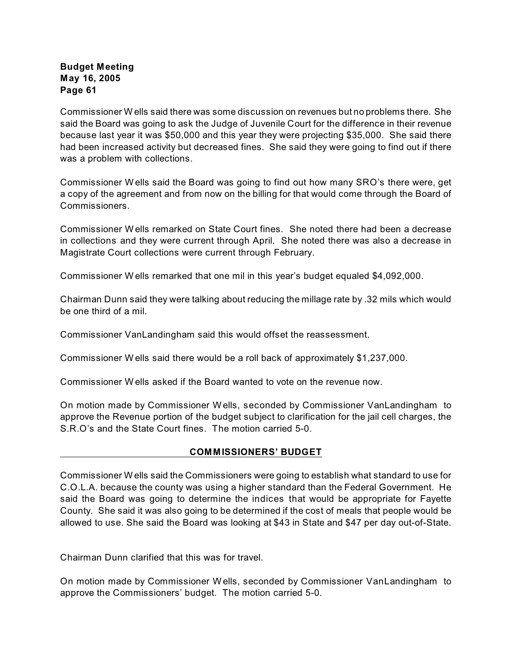Commissioner W ells said there was some discussion on revenues but no problems there. She said the Board was going to ask the Judge of Juvenile Court for the difference in their revenue because last year it was \$50,000 and this year they were projecting \$35,000. She said there had been increased activity but decreased fines. She said they were going to find out if there was a problem with collections.

Commissioner W ells said the Board was going to find out how many SRO's there were, get a copy of the agreement and from now on the billing for that would come through the Board of Commissioners.

Commissioner W ells remarked on State Court fines. She noted there had been a decrease in collections and they were current through April. She noted there was also a decrease in Magistrate Court collections were current through February.

Commissioner W ells remarked that one mil in this year's budget equaled \$4,092,000.

Chairman Dunn said they were talking about reducing the millage rate by .32 mils which would be one third of a mil.

Commissioner VanLandingham said this would offset the reassessment.

Commissioner W ells said there would be a roll back of approximately \$1,237,000.

Commissioner W ells asked if the Board wanted to vote on the revenue now.

On motion made by Commissioner W ells, seconded by Commissioner VanLandingham to approve the Revenue portion of the budget subject to clarification for the jail cell charges, the S.R.O's and the State Court fines. The motion carried 5-0.

#### **COMMISSIONERS' BUDGET**

Commissioner W ells said the Commissioners were going to establish what standard to use for C.O.L.A. because the county was using a higher standard than the Federal Government. He said the Board was going to determine the indices that would be appropriate for Fayette County. She said it was also going to be determined if the cost of meals that people would be allowed to use. She said the Board was looking at \$43 in State and \$47 per day out-of-State.

Chairman Dunn clarified that this was for travel.

On motion made by Commissioner W ells, seconded by Commissioner VanLandingham to approve the Commissioners' budget. The motion carried 5-0.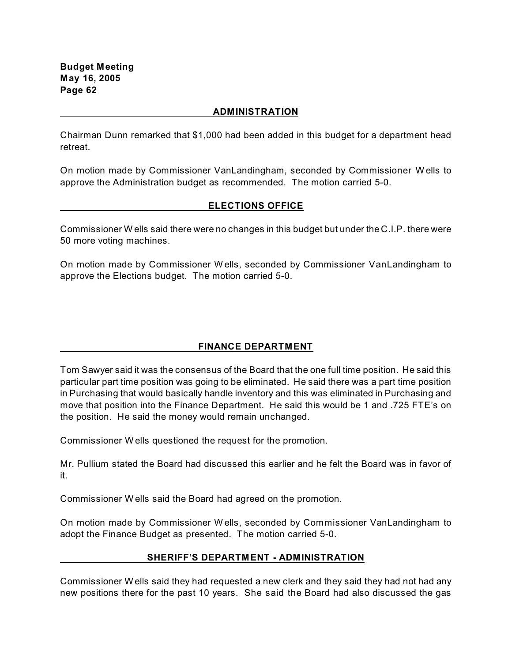#### **ADMINISTRATION**

Chairman Dunn remarked that \$1,000 had been added in this budget for a department head retreat.

On motion made by Commissioner VanLandingham, seconded by Commissioner W ells to approve the Administration budget as recommended. The motion carried 5-0.

#### **ELECTIONS OFFICE**

Commissioner W ells said there were no changes in this budget but under the C.I.P. there were 50 more voting machines.

On motion made by Commissioner W ells, seconded by Commissioner VanLandingham to approve the Elections budget. The motion carried 5-0.

#### **FINANCE DEPARTMENT**

Tom Sawyer said it was the consensus of the Board that the one full time position. He said this particular part time position was going to be eliminated. He said there was a part time position in Purchasing that would basically handle inventory and this was eliminated in Purchasing and move that position into the Finance Department. He said this would be 1 and .725 FTE's on the position. He said the money would remain unchanged.

Commissioner W ells questioned the request for the promotion.

Mr. Pullium stated the Board had discussed this earlier and he felt the Board was in favor of it.

Commissioner W ells said the Board had agreed on the promotion.

On motion made by Commissioner W ells, seconded by Commissioner VanLandingham to adopt the Finance Budget as presented. The motion carried 5-0.

#### **SHERIFF'S DEPARTMENT - ADMINISTRATION**

Commissioner W ells said they had requested a new clerk and they said they had not had any new positions there for the past 10 years. She said the Board had also discussed the gas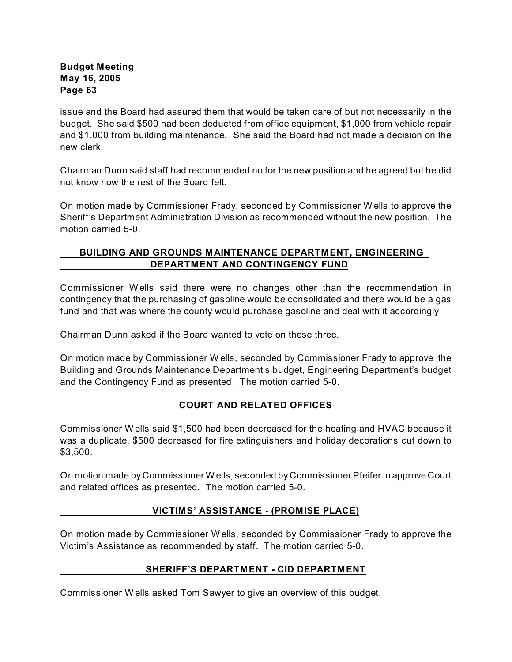issue and the Board had assured them that would be taken care of but not necessarily in the budget. She said \$500 had been deducted from office equipment, \$1,000 from vehicle repair and \$1,000 from building maintenance. She said the Board had not made a decision on the new clerk.

Chairman Dunn said staff had recommended no for the new position and he agreed but he did not know how the rest of the Board felt.

On motion made by Commissioner Frady, seconded by Commissioner W ells to approve the Sheriff's Department Administration Division as recommended without the new position. The motion carried 5-0.

# **BUILDING AND GROUNDS MAINTENANCE DEPARTMENT, ENGINEERING DEPARTMENT AND CONTINGENCY FUND**

Commissioner W ells said there were no changes other than the recommendation in contingency that the purchasing of gasoline would be consolidated and there would be a gas fund and that was where the county would purchase gasoline and deal with it accordingly.

Chairman Dunn asked if the Board wanted to vote on these three.

On motion made by Commissioner W ells, seconded by Commissioner Frady to approve the Building and Grounds Maintenance Department's budget, Engineering Department's budget and the Contingency Fund as presented. The motion carried 5-0.

# **COURT AND RELATED OFFICES**

Commissioner W ells said \$1,500 had been decreased for the heating and HVAC because it was a duplicate, \$500 decreased for fire extinguishers and holiday decorations cut down to \$3,500.

On motion made by Commissioner W ells, seconded by Commissioner Pfeifer to approve Court and related offices as presented. The motion carried 5-0.

# **VICTIMS' ASSISTANCE - (PROMISE PLACE)**

On motion made by Commissioner W ells, seconded by Commissioner Frady to approve the Victim's Assistance as recommended by staff. The motion carried 5-0.

#### **SHERIFF'S DEPARTMENT - CID DEPARTMENT**

Commissioner W ells asked Tom Sawyer to give an overview of this budget.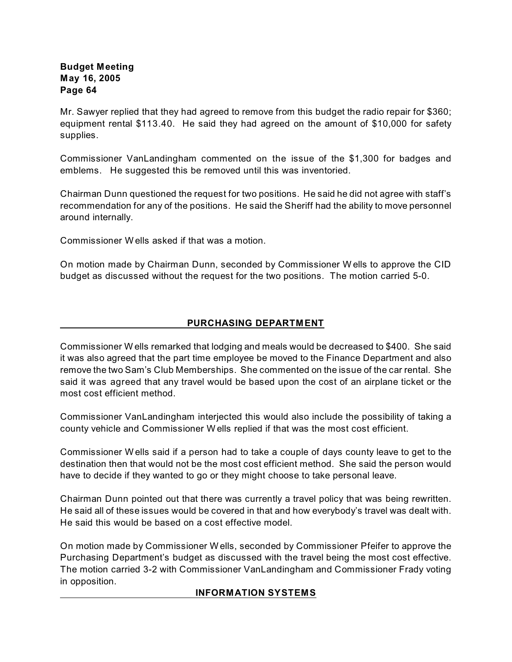Mr. Sawyer replied that they had agreed to remove from this budget the radio repair for \$360; equipment rental \$113.40. He said they had agreed on the amount of \$10,000 for safety supplies.

Commissioner VanLandingham commented on the issue of the \$1,300 for badges and emblems. He suggested this be removed until this was inventoried.

Chairman Dunn questioned the request for two positions. He said he did not agree with staff's recommendation for any of the positions. He said the Sheriff had the ability to move personnel around internally.

Commissioner W ells asked if that was a motion.

On motion made by Chairman Dunn, seconded by Commissioner W ells to approve the CID budget as discussed without the request for the two positions. The motion carried 5-0.

# **PURCHASING DEPARTMENT**

Commissioner W ells remarked that lodging and meals would be decreased to \$400. She said it was also agreed that the part time employee be moved to the Finance Department and also remove the two Sam's Club Memberships. She commented on the issue of the car rental. She said it was agreed that any travel would be based upon the cost of an airplane ticket or the most cost efficient method.

Commissioner VanLandingham interjected this would also include the possibility of taking a county vehicle and Commissioner W ells replied if that was the most cost efficient.

Commissioner W ells said if a person had to take a couple of days county leave to get to the destination then that would not be the most cost efficient method. She said the person would have to decide if they wanted to go or they might choose to take personal leave.

Chairman Dunn pointed out that there was currently a travel policy that was being rewritten. He said all of these issues would be covered in that and how everybody's travel was dealt with. He said this would be based on a cost effective model.

On motion made by Commissioner W ells, seconded by Commissioner Pfeifer to approve the Purchasing Department's budget as discussed with the travel being the most cost effective. The motion carried 3-2 with Commissioner VanLandingham and Commissioner Frady voting in opposition.

#### **INFORMATION SYSTEMS**